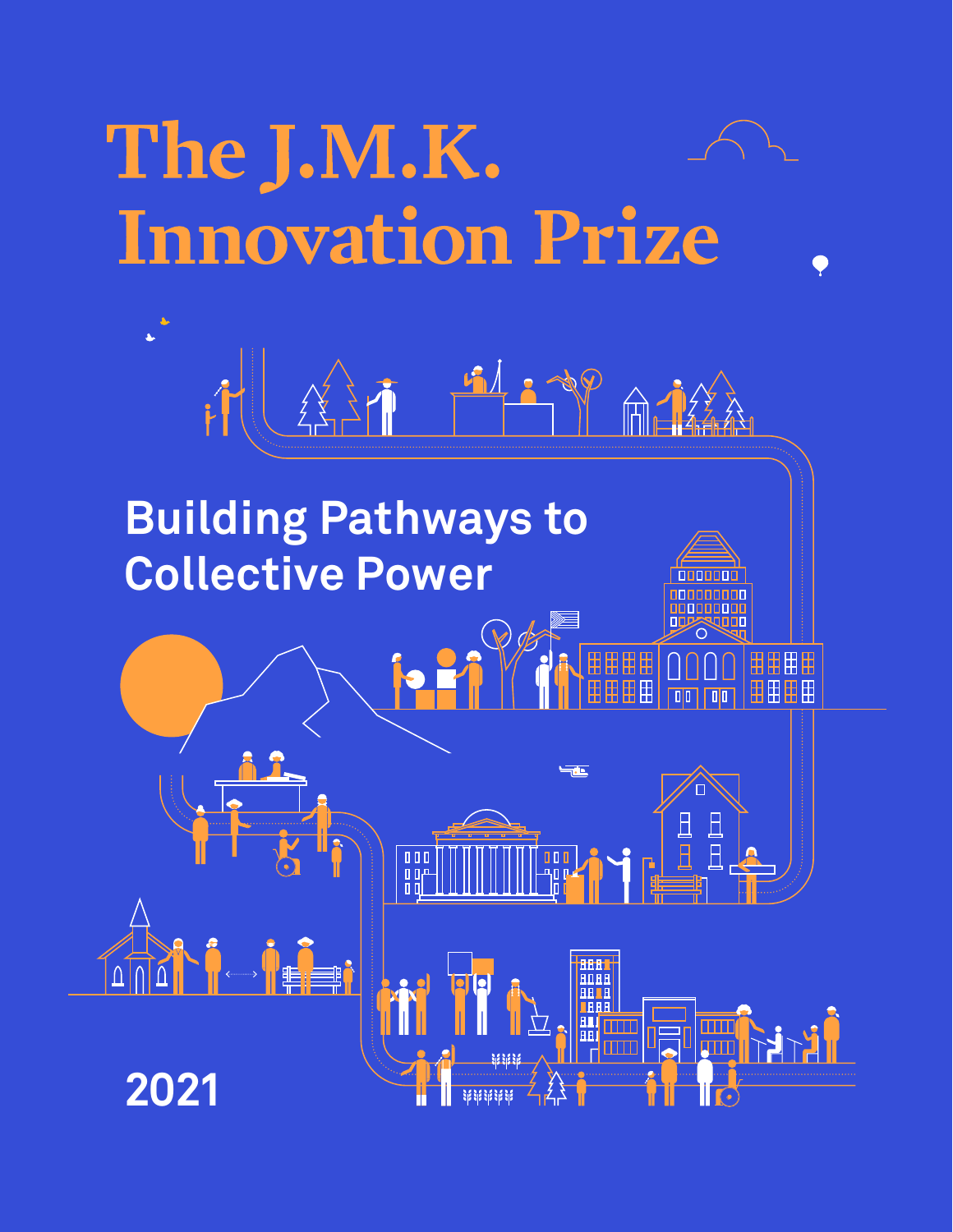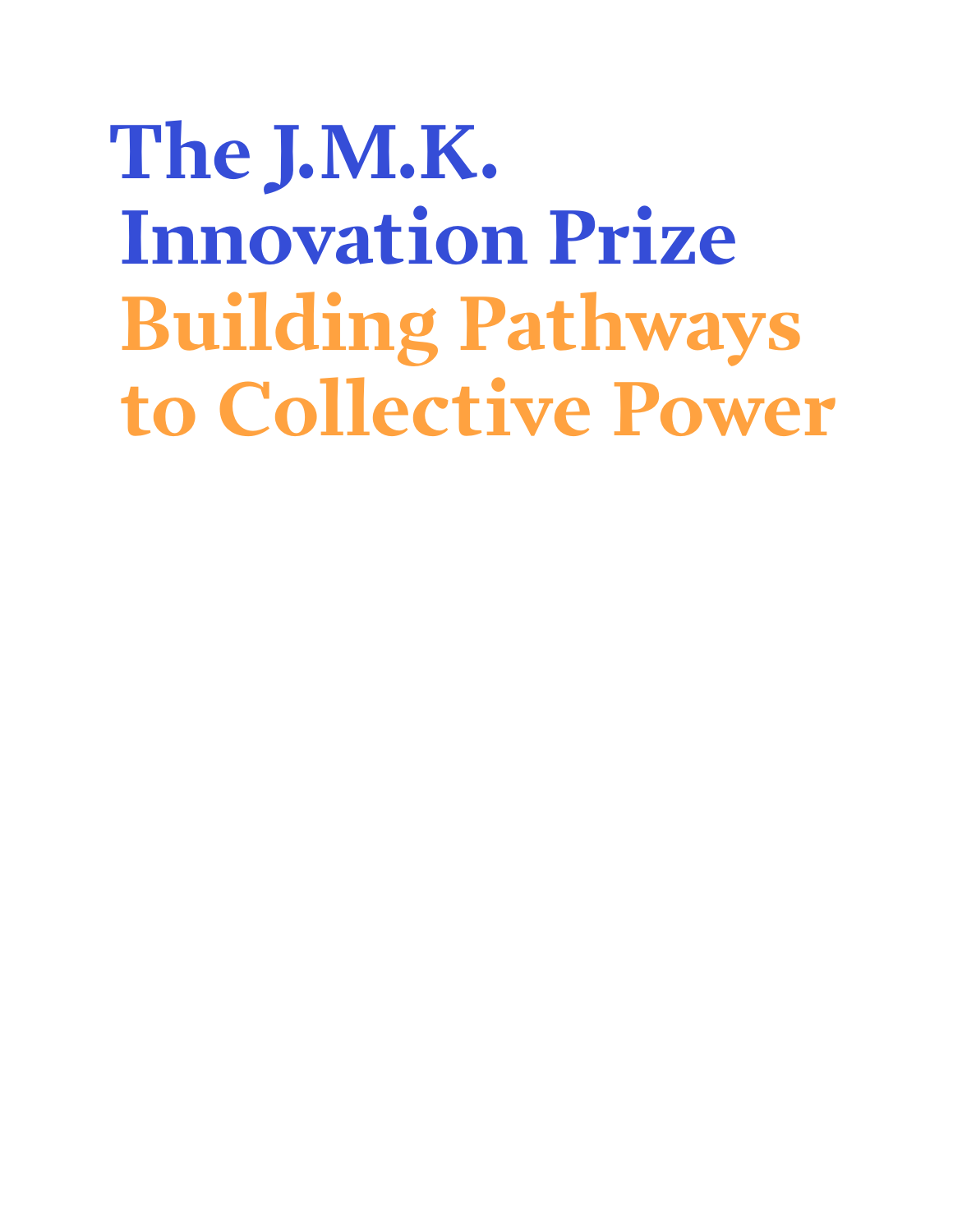## **The J.M.K. Innovation Prize Building Pathways to Collective Power**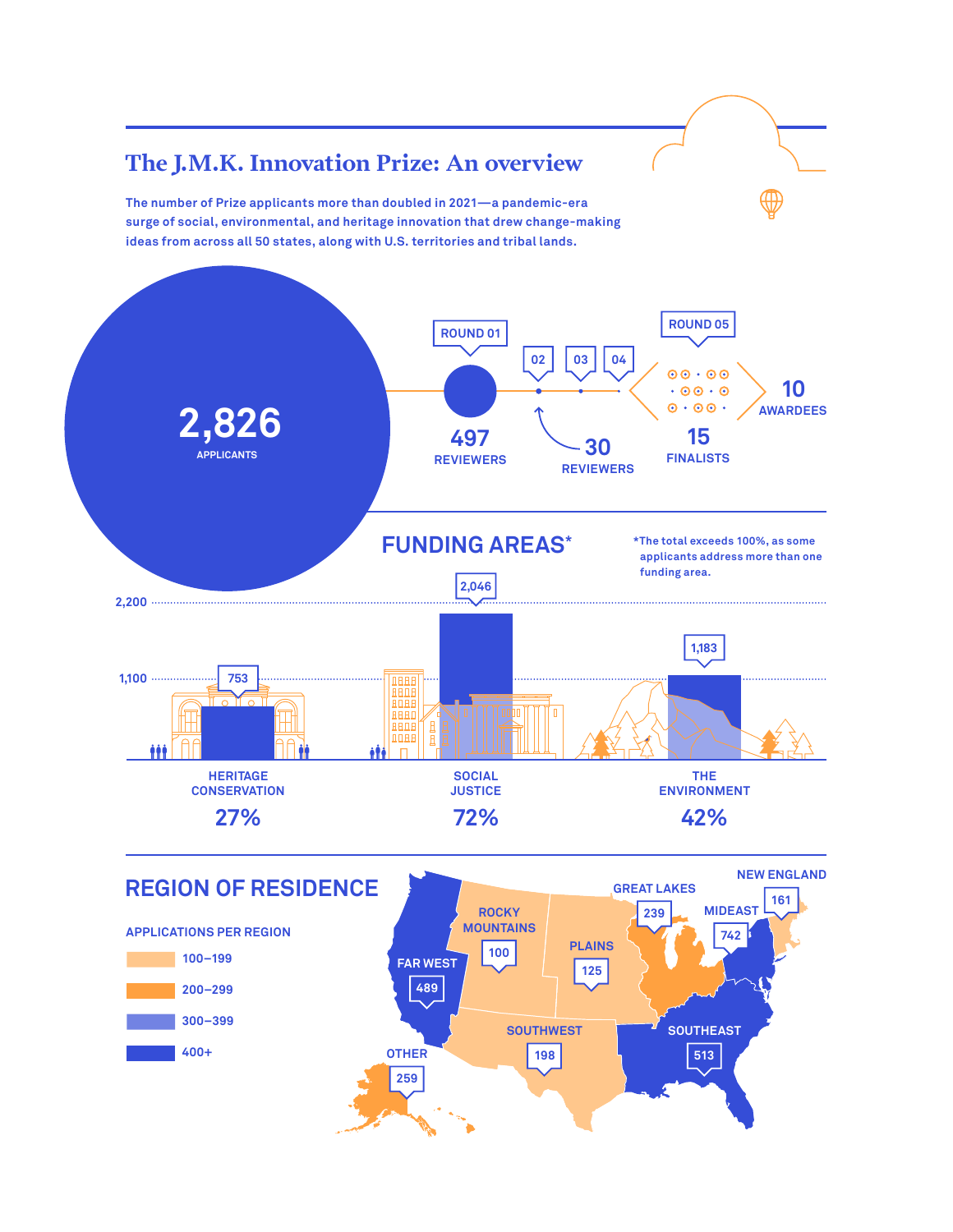

**300–399 400+**



**259**



**SOUTHEAST 513**

**SOUTHWEST**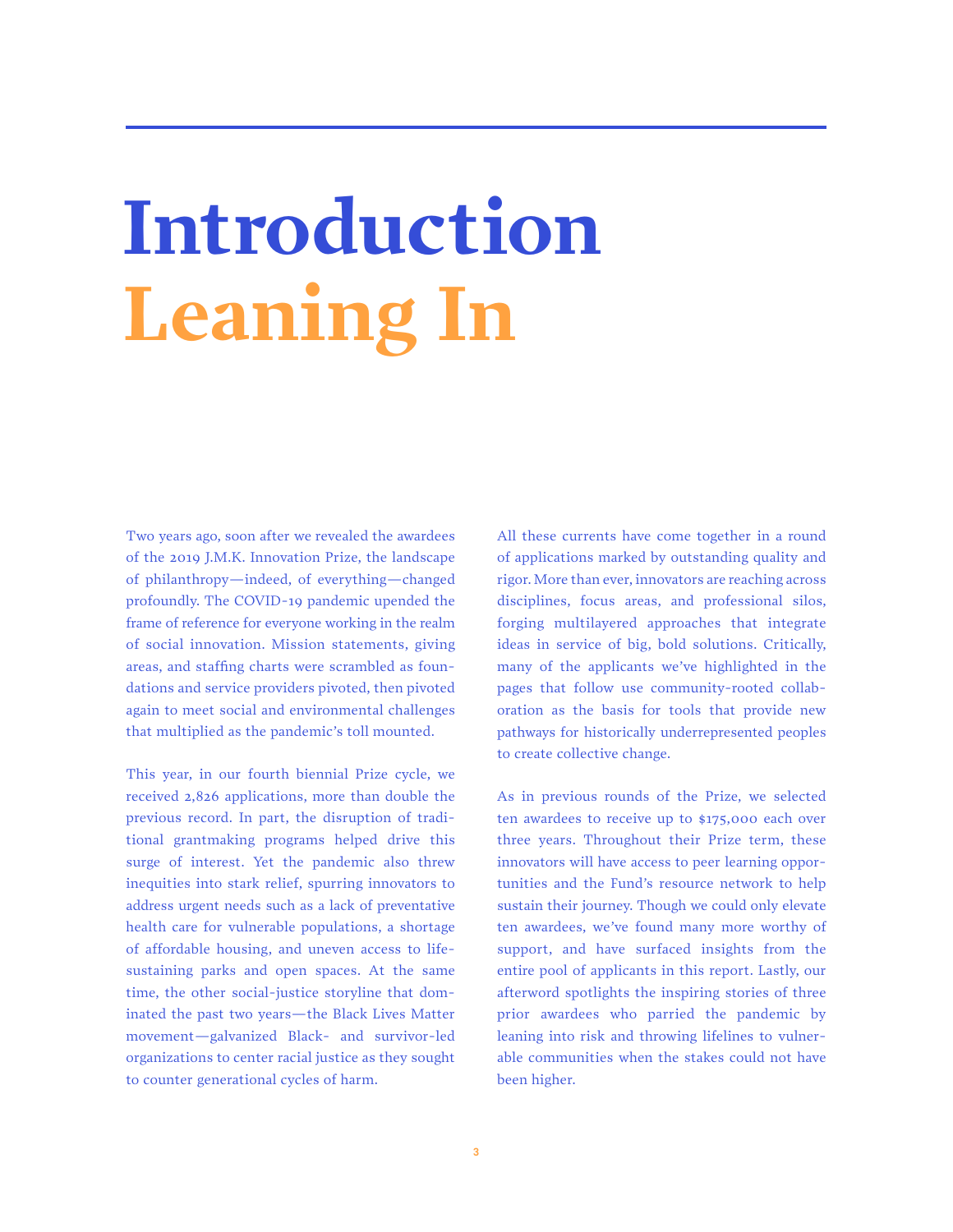## **Introduction Leaning In**

Two years ago, soon after we revealed the awardees of the 2019 J.M.K. Innovation Prize, the landscape of philanthropy—indeed, of everything—changed profoundly. The COVID-19 pandemic upended the frame of reference for everyone working in the realm of social innovation. Mission statements, giving areas, and staffing charts were scrambled as foundations and service providers pivoted, then pivoted again to meet social and environmental challenges that multiplied as the pandemic's toll mounted.

This year, in our fourth biennial Prize cycle, we received 2,826 applications, more than double the previous record. In part, the disruption of traditional grantmaking programs helped drive this surge of interest. Yet the pandemic also threw inequities into stark relief, spurring innovators to address urgent needs such as a lack of preventative health care for vulnerable populations, a shortage of affordable housing, and uneven access to lifesustaining parks and open spaces. At the same time, the other social-justice storyline that dominated the past two years—the Black Lives Matter movement—galvanized Black- and survivor-led organizations to center racial justice as they sought to counter generational cycles of harm.

All these currents have come together in a round of applications marked by outstanding quality and rigor. More than ever, innovators are reaching across disciplines, focus areas, and professional silos, forging multilayered approaches that integrate ideas in service of big, bold solutions. Critically, many of the applicants we've highlighted in the pages that follow use community-rooted collaboration as the basis for tools that provide new pathways for historically underrepresented peoples to create collective change.

As in previous rounds of the Prize, we selected ten awardees to receive up to \$175,000 each over three years. Throughout their Prize term, these innovators will have access to peer learning opportunities and the Fund's resource network to help sustain their journey. Though we could only elevate ten awardees, we've found many more worthy of support, and have surfaced insights from the entire pool of applicants in this report. Lastly, our afterword spotlights the inspiring stories of three prior awardees who parried the pandemic by leaning into risk and throwing lifelines to vulnerable communities when the stakes could not have been higher.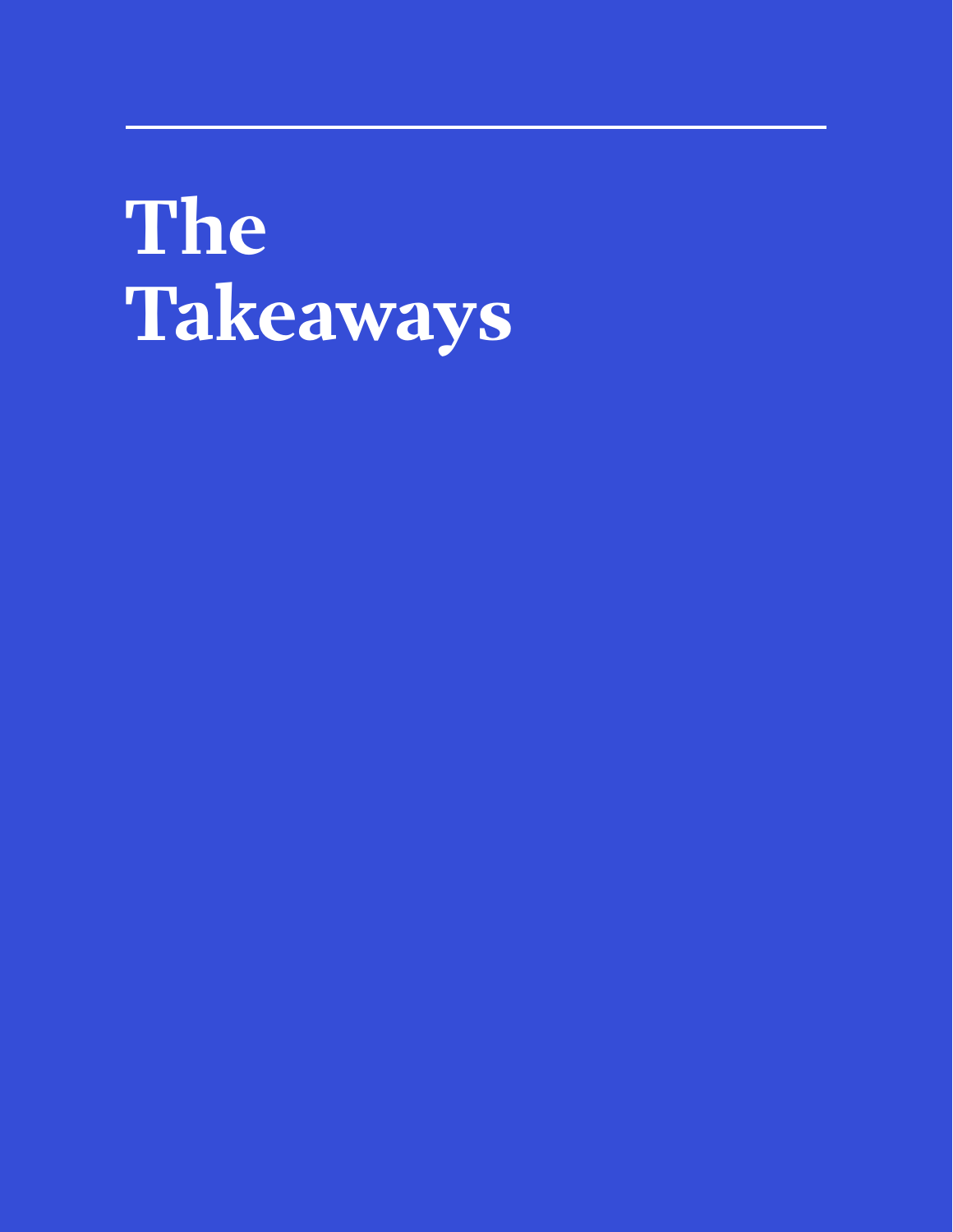## **The Takeaways**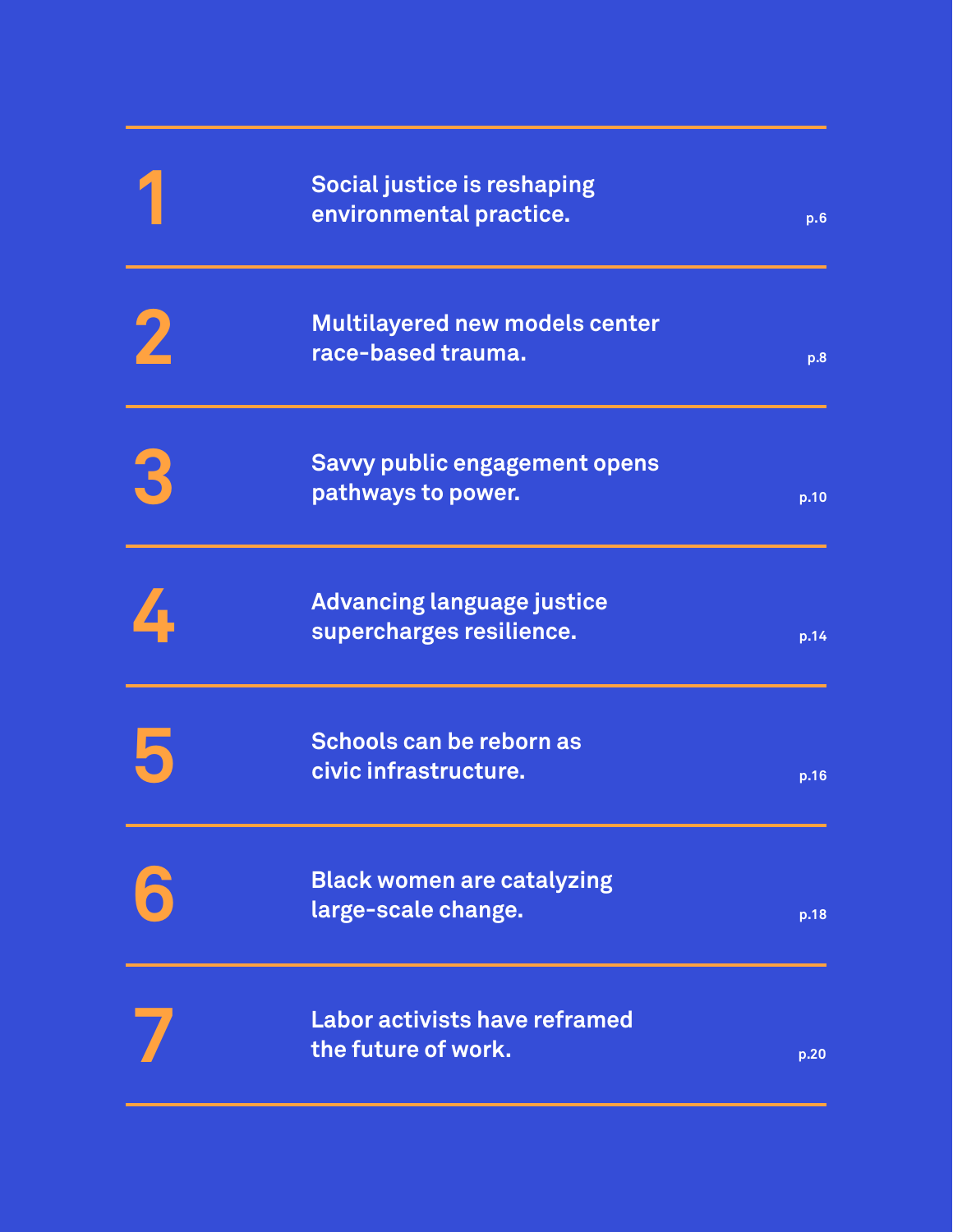|   | <b>Social justice is reshaping</b><br>environmental practice. | p.6  |
|---|---------------------------------------------------------------|------|
| 2 | <b>Multilayered new models center</b><br>race-based trauma.   | p.8  |
| 3 | <b>Savvy public engagement opens</b><br>pathways to power.    | p.10 |
|   | <b>Advancing language justice</b><br>supercharges resilience. | p.14 |
| 5 | Schools can be reborn as<br>civic infrastructure.             | p.16 |
|   | <b>Black women are catalyzing</b><br>large-scale change.      | p.18 |
|   | <b>Labor activists have reframed</b><br>the future of work.   | p.20 |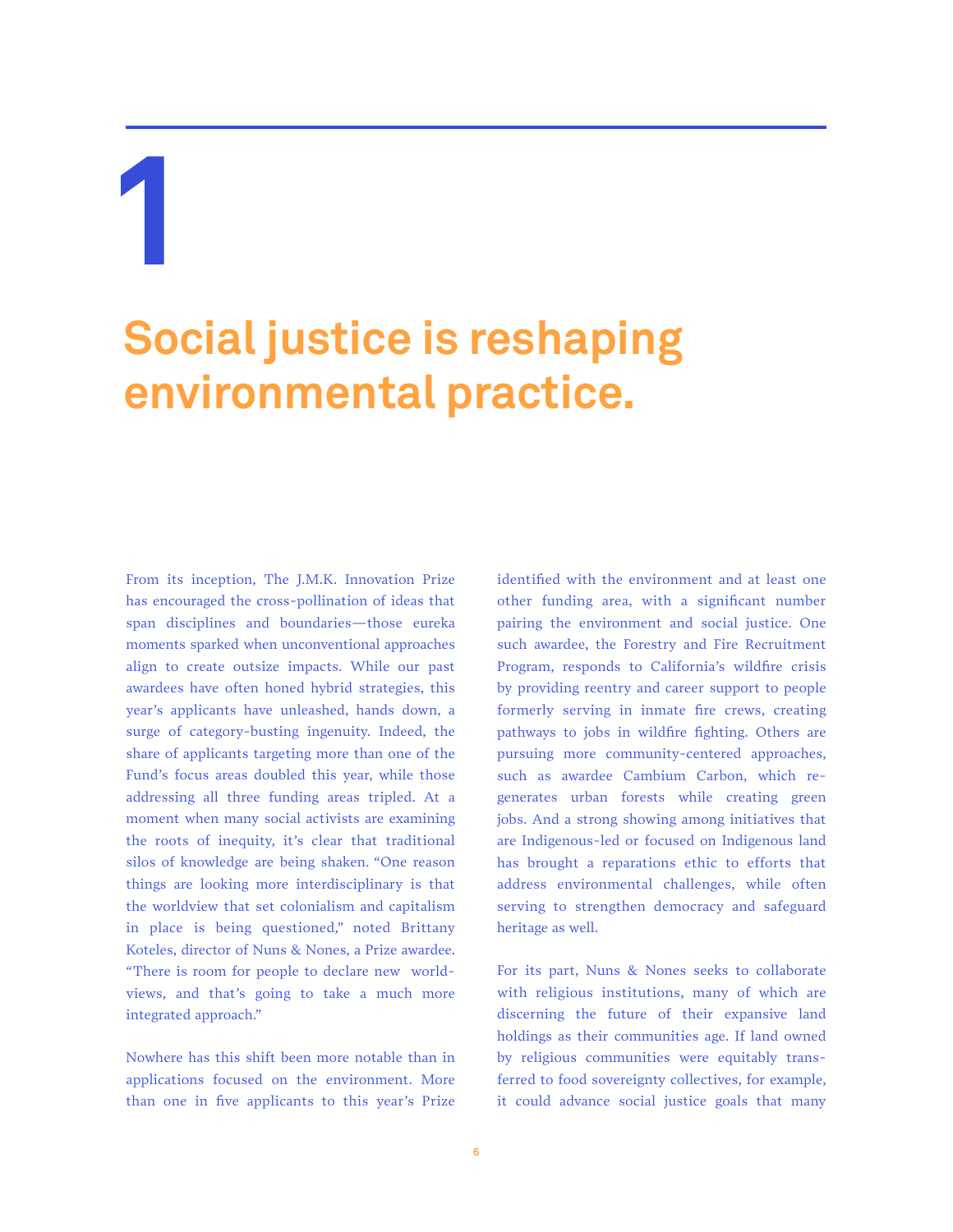### **Social justice is reshaping environmental practice.**

From its inception, The J.M.K. Innovation Prize has encouraged the cross-pollination of ideas that span disciplines and boundaries—those eureka moments sparked when unconventional approaches align to create outsize impacts. While our past awardees have often honed hybrid strategies, this year's applicants have unleashed, hands down, a surge of category-busting ingenuity. Indeed, the share of applicants targeting more than one of the Fund's focus areas doubled this year, while those addressing all three funding areas tripled. At a moment when many social activists are examining the roots of inequity, it's clear that traditional silos of knowledge are being shaken. "One reason things are looking more interdisciplinary is that the worldview that set colonialism and capitalism in place is being questioned," noted Brittany Koteles, director of Nuns & Nones, a Prize awardee. "There is room for people to declare new worldviews, and that's going to take a much more integrated approach."

Nowhere has this shift been more notable than in applications focused on the environment. More than one in five applicants to this year's Prize

identified with the environment and at least one other funding area, with a significant number pairing the environment and social justice. One such awardee, the Forestry and Fire Recruitment Program, responds to California's wildfire crisis by providing reentry and career support to people formerly serving in inmate fire crews, creating pathways to jobs in wildfire fighting. Others are pursuing more community-centered approaches, such as awardee Cambium Carbon, which regenerates urban forests while creating green jobs. And a strong showing among initiatives that are Indigenous-led or focused on Indigenous land has brought a reparations ethic to efforts that address environmental challenges, while often serving to strengthen democracy and safeguard heritage as well.

For its part, Nuns & Nones seeks to collaborate with religious institutions, many of which are discerning the future of their expansive land holdings as their communities age. If land owned by religious communities were equitably transferred to food sovereignty collectives, for example, it could advance social justice goals that many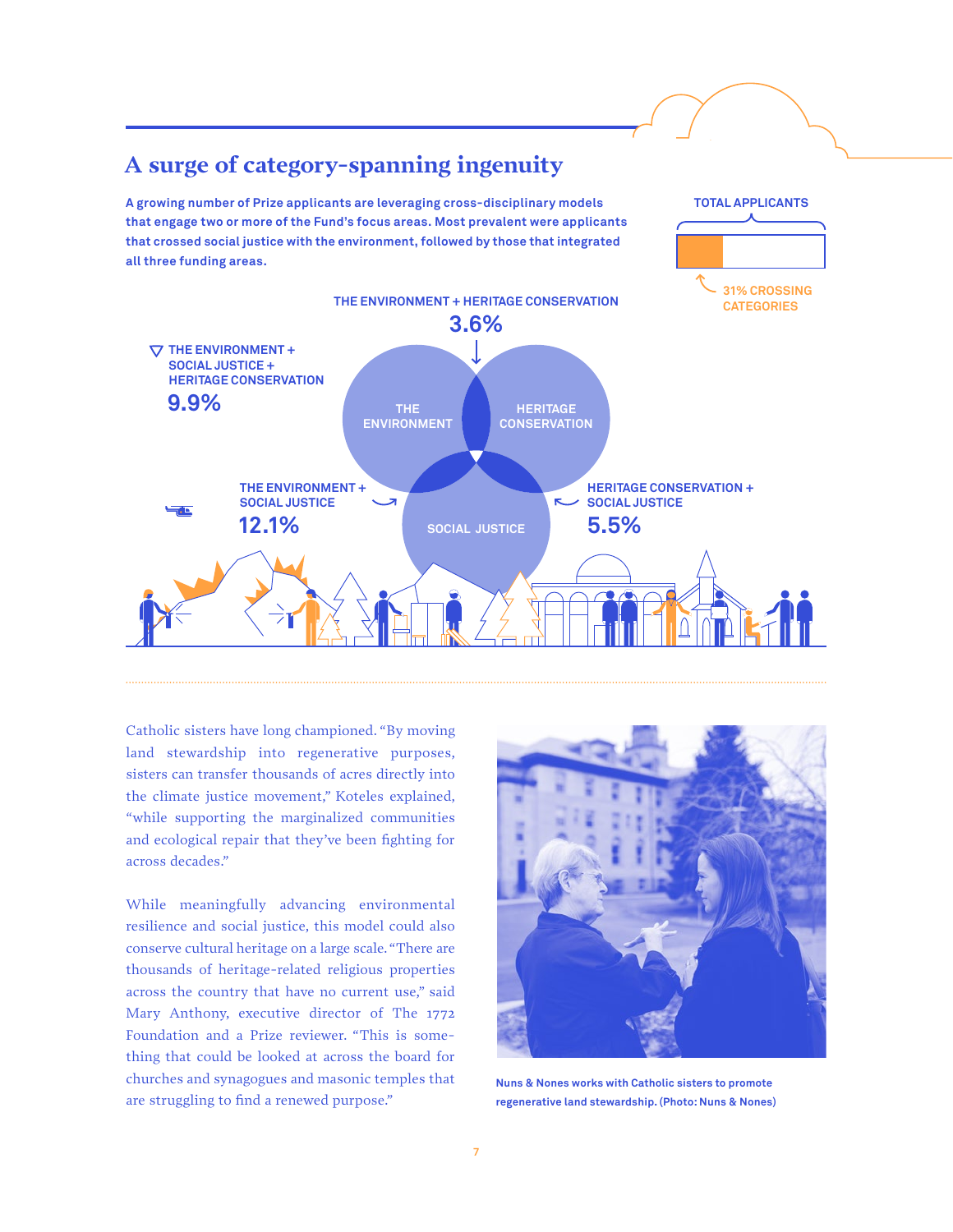

Catholic sisters have long championed. "By moving land stewardship into regenerative purposes, sisters can transfer thousands of acres directly into the climate justice movement," Koteles explained, "while supporting the marginalized communities and ecological repair that they've been fighting for across decades."

While meaningfully advancing environmental resilience and social justice, this model could also conserve cultural heritage on a large scale. "There are thousands of heritage-related religious properties across the country that have no current use," said Mary Anthony, executive director of The 1772 Foundation and a Prize reviewer. "This is something that could be looked at across the board for churches and synagogues and masonic temples that are struggling to find a renewed purpose."



**Nuns & Nones works with Catholic sisters to promote regenerative land stewardship. (Photo: Nuns & Nones)**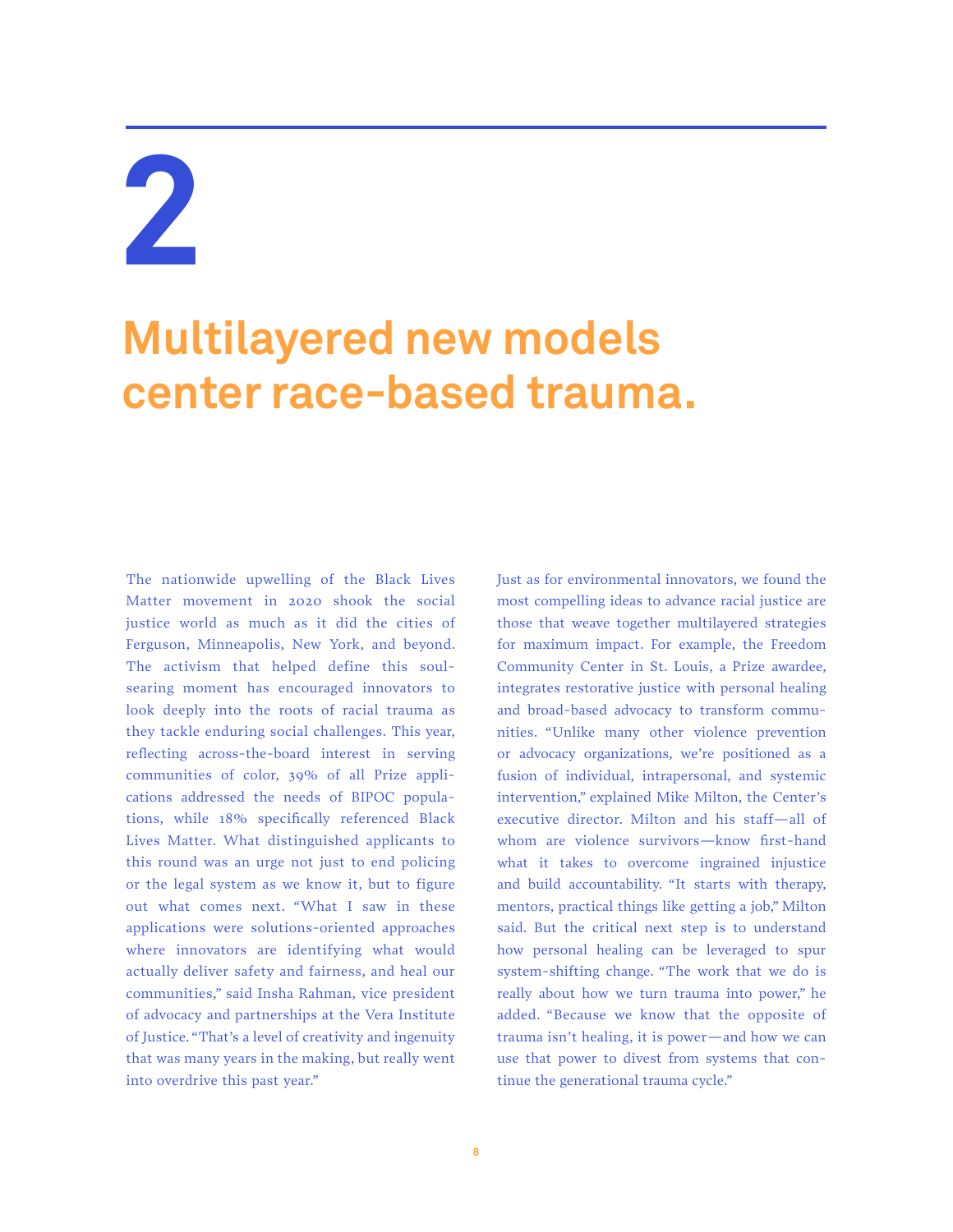### **Multilayered new models center race-based trauma.**

The nationwide upwelling of the Black Lives Matter movement in 2020 shook the social justice world as much as it did the cities of Ferguson, Minneapolis, New York, and beyond. The activism that helped define this soulsearing moment has encouraged innovators to look deeply into the roots of racial trauma as they tackle enduring social challenges. This year, reflecting across-the-board interest in serving communities of color, 39% of all Prize applications addressed the needs of BIPOC populations, while 18% specifically referenced Black Lives Matter. What distinguished applicants to this round was an urge not just to end policing or the legal system as we know it, but to figure out what comes next. "What I saw in these applications were solutions-oriented approaches where innovators are identifying what would actually deliver safety and fairness, and heal our communities," said Insha Rahman, vice president of advocacy and partnerships at the Vera Institute of Justice. "That's a level of creativity and ingenuity that was many years in the making, but really went into overdrive this past year."

Just as for environmental innovators, we found the most compelling ideas to advance racial justice are those that weave together multilayered strategies for maximum impact. For example, the Freedom Community Center in St. Louis, a Prize awardee, integrates restorative justice with personal healing and broad-based advocacy to transform communities. "Unlike many other violence prevention or advocacy organizations, we're positioned as a fusion of individual, intrapersonal, and systemic intervention," explained Mike Milton, the Center's executive director. Milton and his staff—all of whom are violence survivors—know first-hand what it takes to overcome ingrained injustice and build accountability. "It starts with therapy, mentors, practical things like getting a job," Milton said. But the critical next step is to understand how personal healing can be leveraged to spur system-shifting change. "The work that we do is really about how we turn trauma into power," he added. "Because we know that the opposite of trauma isn't healing, it is power—and how we can use that power to divest from systems that continue the generational trauma cycle."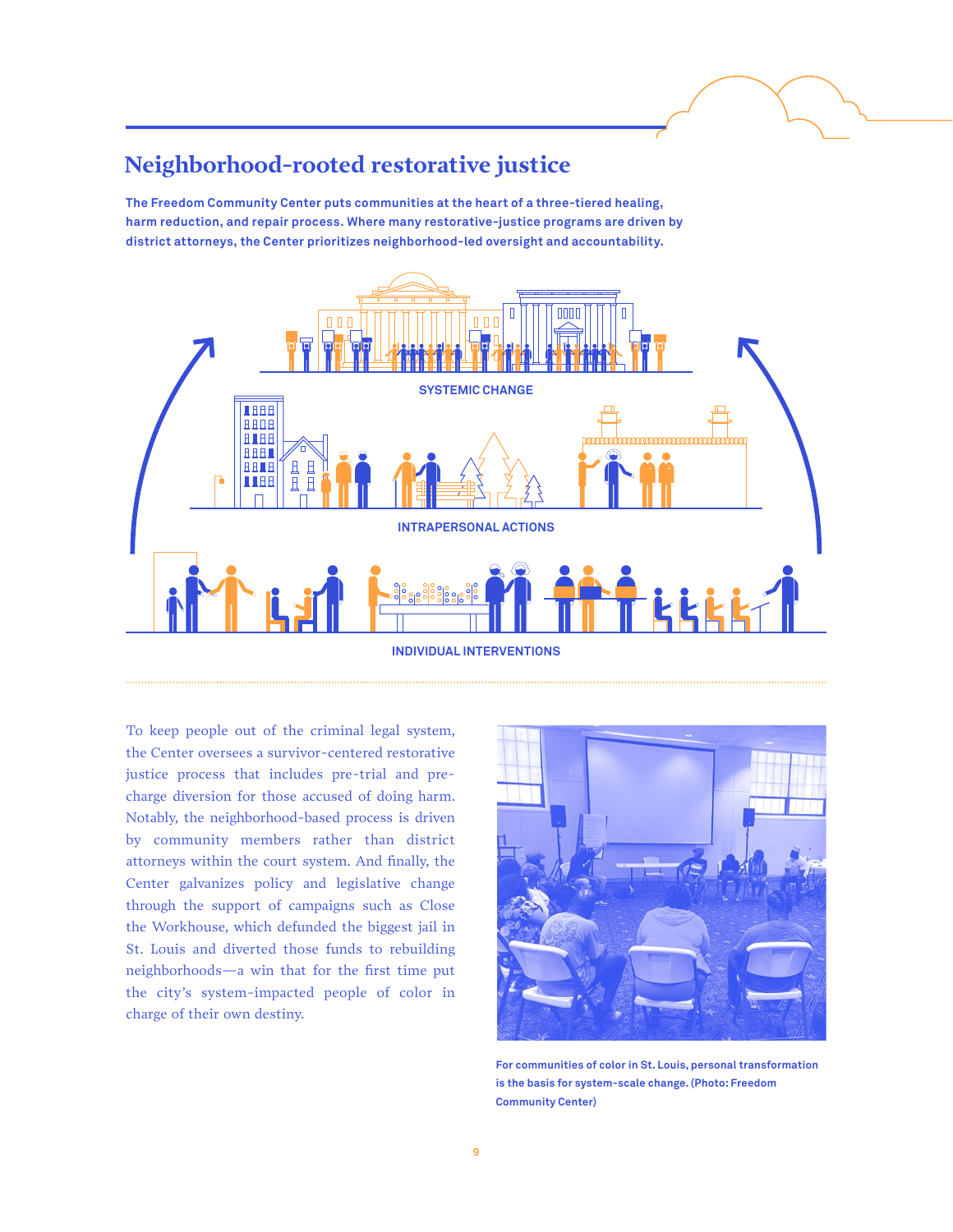### **Neighborhood-rooted restorative justice**

**The Freedom Community Center puts communities at the heart of a three-tiered healing, harm reduction, and repair process. Where many restorative-justice programs are driven by district attorneys, the Center prioritizes neighborhood-led oversight and accountability.**



To keep people out of the criminal legal system, the Center oversees a survivor-centered restorative justice process that includes pre-trial and precharge diversion for those accused of doing harm. Notably, the neighborhood-based process is driven by community members rather than district attorneys within the court system. And finally, the Center galvanizes policy and legislative change through the support of campaigns such as Close the Workhouse, which defunded the biggest jail in St. Louis and diverted those funds to rebuilding neighborhoods—a win that for the first time put the city's system-impacted people of color in charge of their own destiny.



**For communities of color in St. Louis, personal transformation is the basis for system-scale change. (Photo: Freedom Community Center)**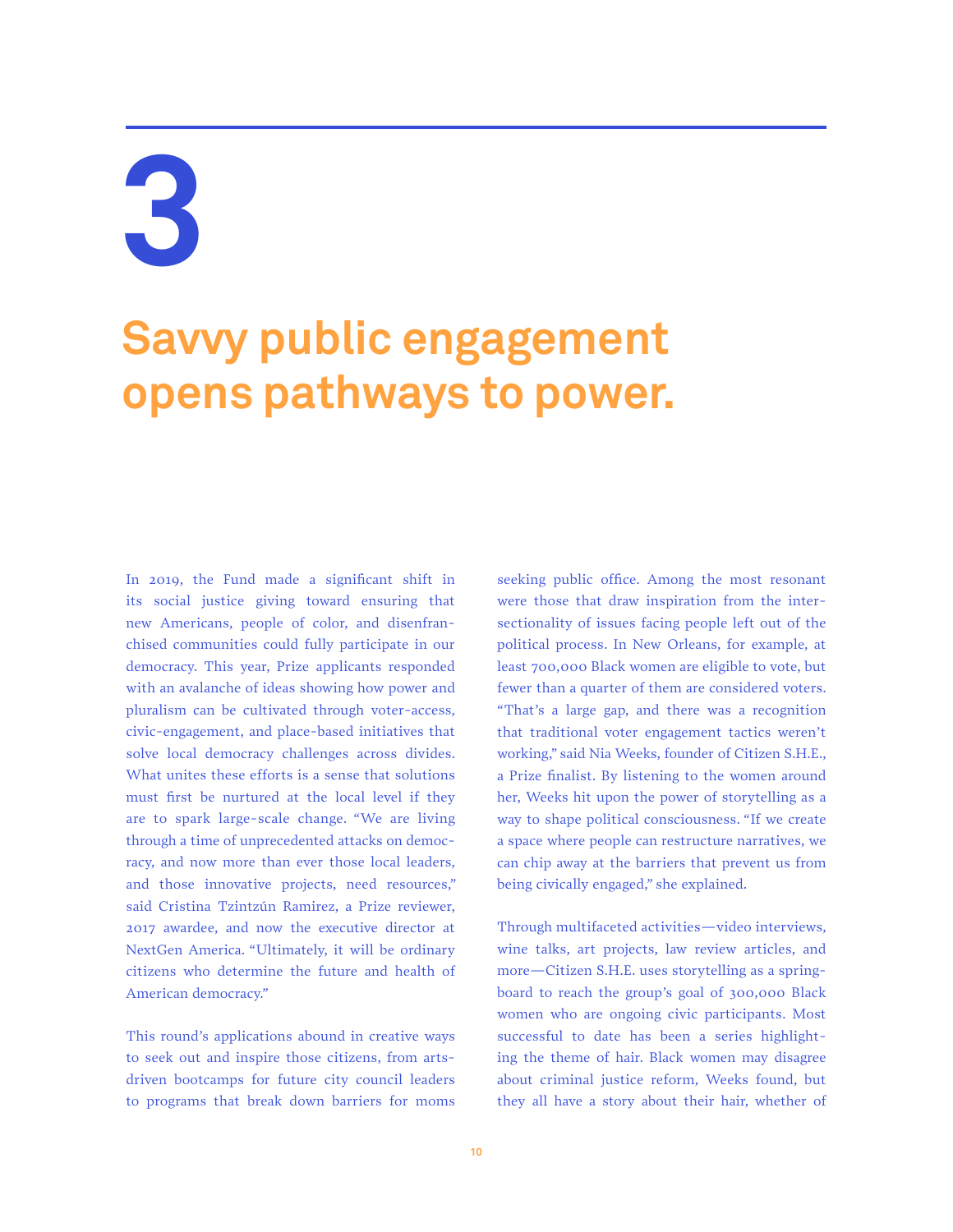### **Savvy public engagement opens pathways to power.**

In 2019, the Fund made a significant shift in its social justice giving toward ensuring that new Americans, people of color, and disenfranchised communities could fully participate in our democracy. This year, Prize applicants responded with an avalanche of ideas showing how power and pluralism can be cultivated through voter-access, civic-engagement, and place-based initiatives that solve local democracy challenges across divides. What unites these efforts is a sense that solutions must first be nurtured at the local level if they are to spark large-scale change. "We are living through a time of unprecedented attacks on democracy, and now more than ever those local leaders, and those innovative projects, need resources," said Cristina Tzintzún Ramirez, a Prize reviewer, 2017 awardee, and now the executive director at NextGen America. "Ultimately, it will be ordinary citizens who determine the future and health of American democracy."

This round's applications abound in creative ways to seek out and inspire those citizens, from artsdriven bootcamps for future city council leaders to programs that break down barriers for moms

seeking public office. Among the most resonant were those that draw inspiration from the intersectionality of issues facing people left out of the political process. In New Orleans, for example, at least 700,000 Black women are eligible to vote, but fewer than a quarter of them are considered voters. "That's a large gap, and there was a recognition that traditional voter engagement tactics weren't working," said Nia Weeks, founder of Citizen S.H.E., a Prize finalist. By listening to the women around her, Weeks hit upon the power of storytelling as a way to shape political consciousness. "If we create a space where people can restructure narratives, we can chip away at the barriers that prevent us from being civically engaged," she explained.

Through multifaceted activities—video interviews, wine talks, art projects, law review articles, and more—Citizen S.H.E. uses storytelling as a springboard to reach the group's goal of 300,000 Black women who are ongoing civic participants. Most successful to date has been a series highlighting the theme of hair. Black women may disagree about criminal justice reform, Weeks found, but they all have a story about their hair, whether of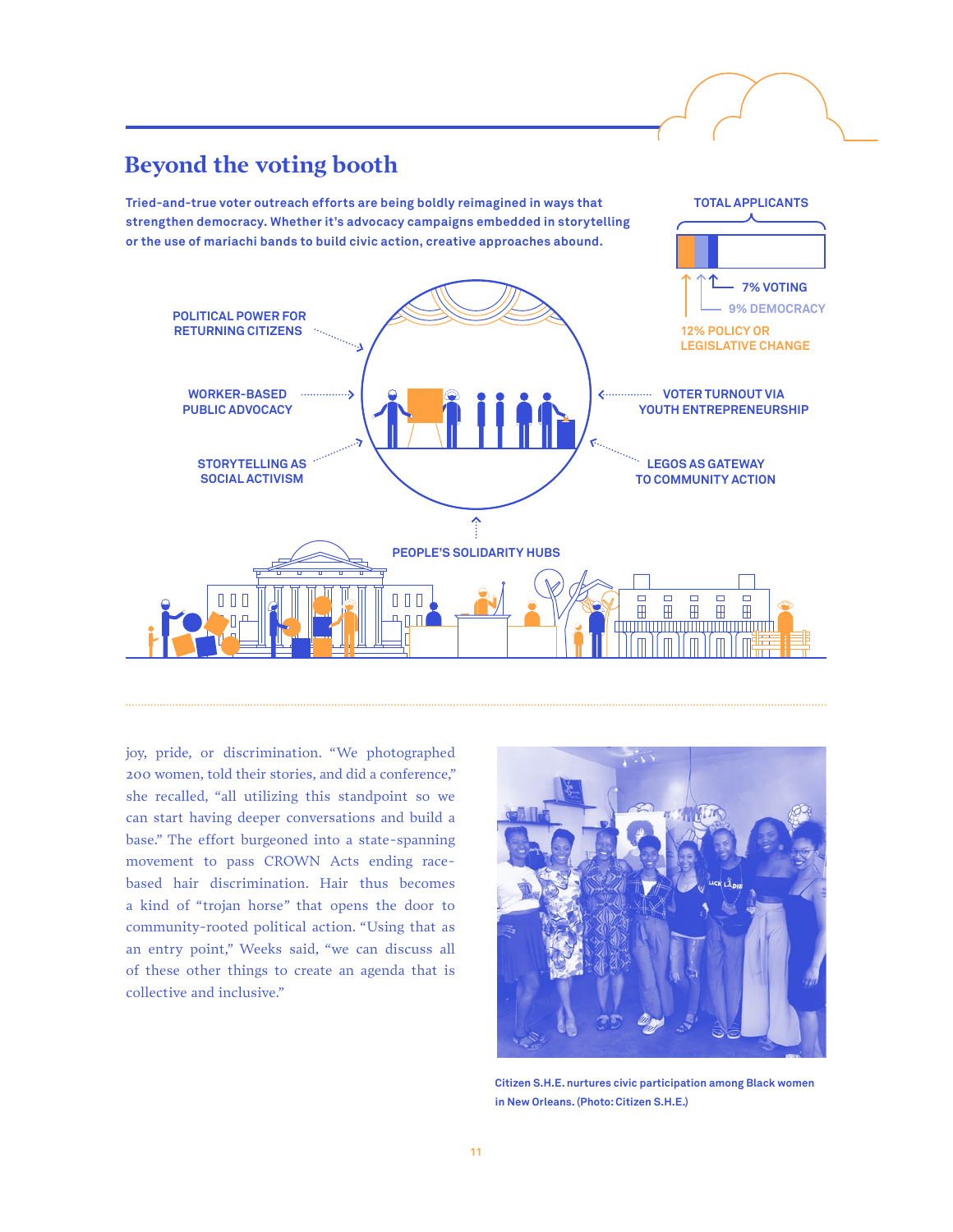

joy, pride, or discrimination. "We photographed 200 women, told their stories, and did a conference," she recalled, "all utilizing this standpoint so we can start having deeper conversations and build a base." The effort burgeoned into a state-spanning movement to pass CROWN Acts ending racebased hair discrimination. Hair thus becomes a kind of "trojan horse" that opens the door to community-rooted political action. "Using that as an entry point," Weeks said, "we can discuss all of these other things to create an agenda that is collective and inclusive."



**Citizen S.H.E. nurtures civic participation among Black women in New Orleans. (Photo: Citizen S.H.E.)**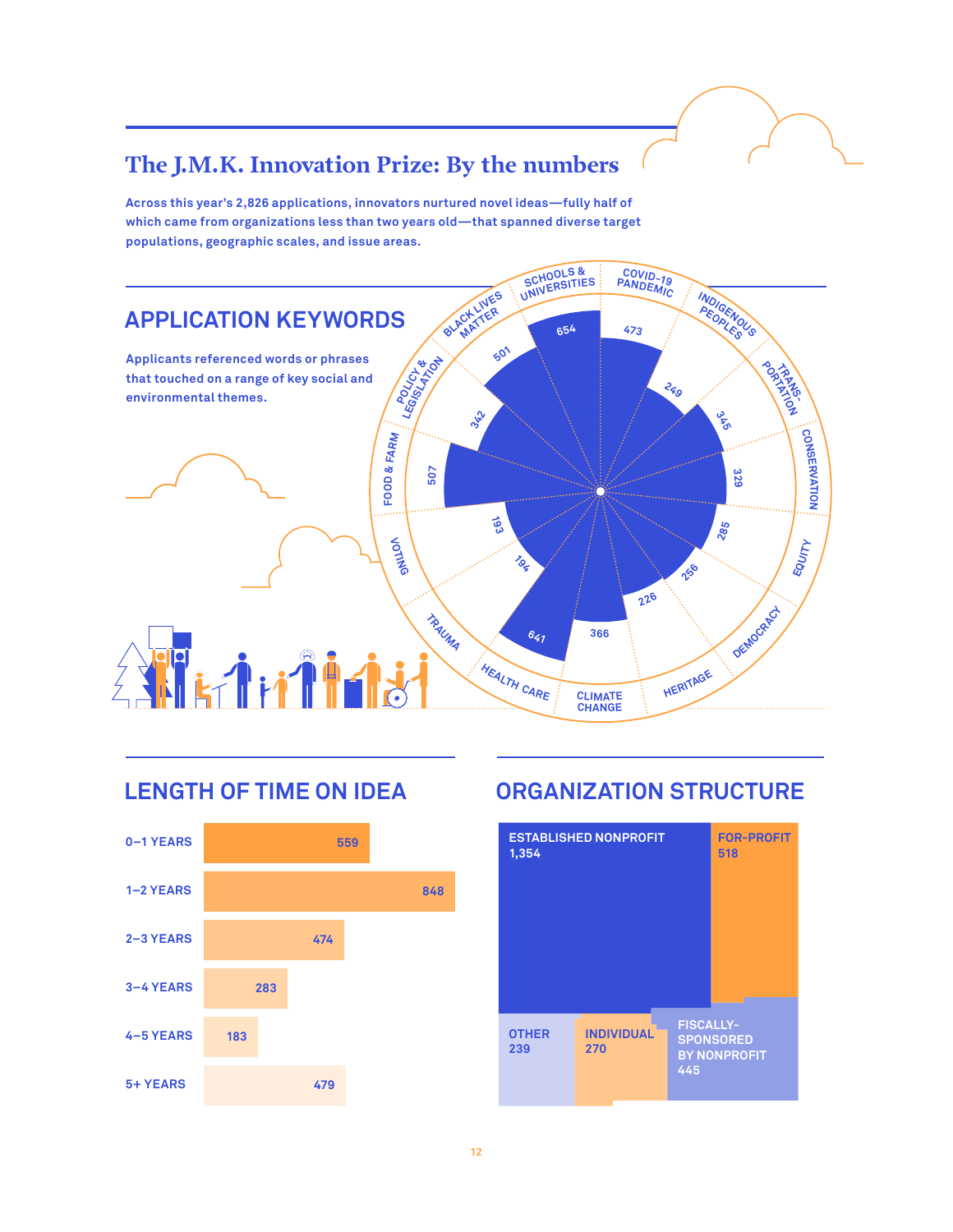### **The J.M.K. Innovation Prize: By the numbers**

**Across this year's 2,826 applications, innovators nurtured novel ideas—fully half of which came from organizations less than two years old—that spanned diverse target populations, geographic scales, and issue areas.**





### **LENGTH OF TIME ON IDEA ORGANIZATION STRUCTURE**

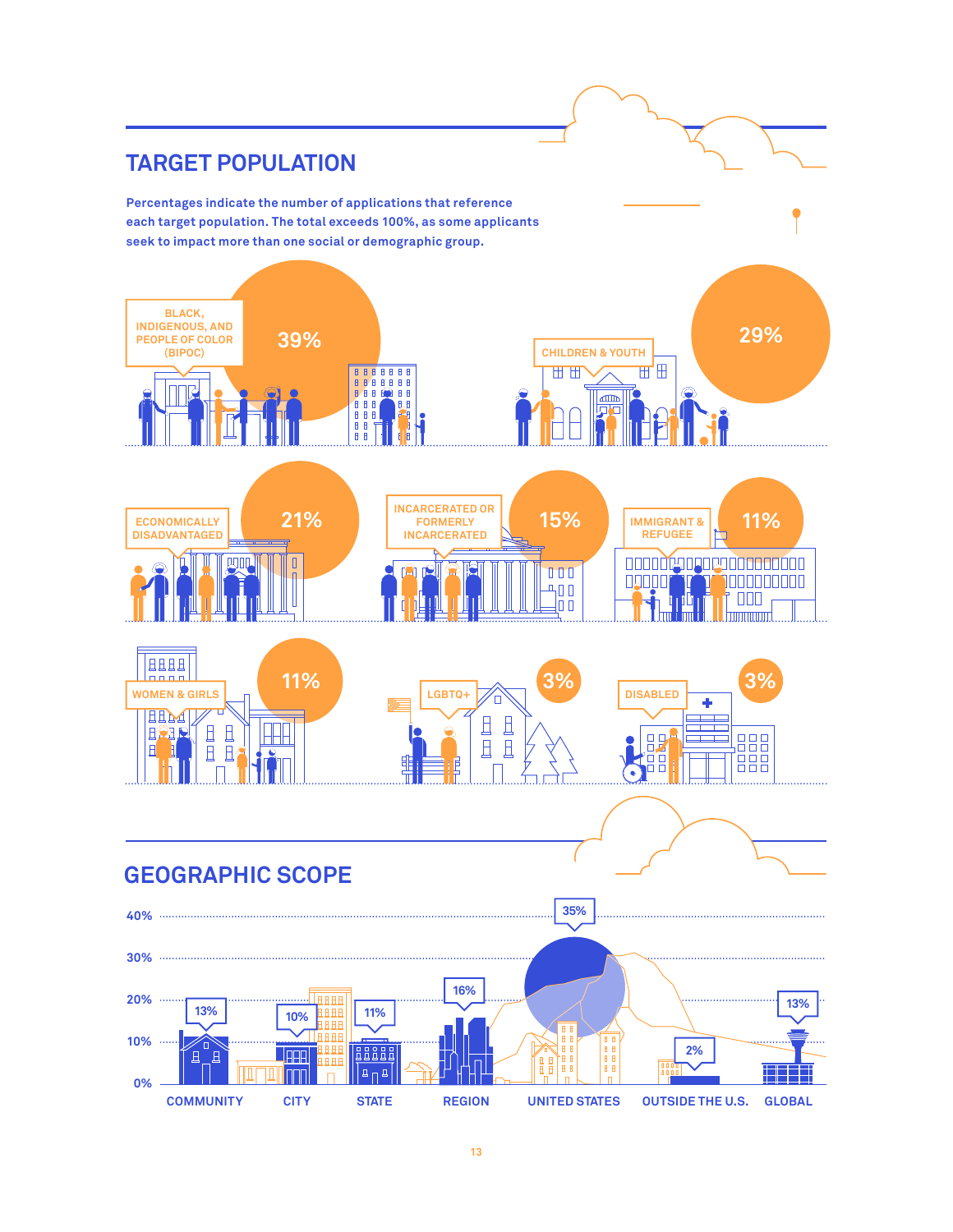#### **TARGET POPULATION Percentages indicate the number of applications that reference each target population. The total exceeds 100%, as some applicants seek to impact more than one social or demographic group. BLACK, INDIGENOUS, AND 29% 39% PEOPLE OF COLOR CHILDREN & YOUTH (BIPOC)** $\mathbb{H}^1\mathbb{H}$ 世世 113 **BBBBBB**  $\mathbb{Z}$ 888 f 語 **INCARCERATED OR 21% 15% 15% IMMIGRANT&** 11% **ECONOMICALLY FORMERLY IMMIGRANT & DISADVANTAGED INCARCERATED REFUGEE** 0000009000000000000 四皿  $\mathbf{r}$  $\begin{array}{c} \begin{array}{c} \text{T} \\ \text{I} \end{array} \end{array}$ 09000 <u> 1900 - 1900 - 1900 - 1900 - 1900 - 1900 - 1900 - 1900 - 1900 - 1900 - 1900 - 1900 - 1900 - 1900 - 1900 - 19</u>  $400$  $\Box$ lo a **BBBB**  $\frac{1}{1}$ **11% 3% 3% WOMEN & GIRLS** LGBTQ+ **DISABLED** ÷ HHM  $\Box$  $\Box$ 且且 HH **HOLD**  $\mathbf{B}$  $\Box$ 器品 age<br>Bee  $\overline{B}$ ┯  $\mathbb{H}$  $\mathbf{H}$ H  $\mathbf{H}$ 俳  $\bullet$ . . . . . . . . . . . . **GEOGRAPHIC SCOPE 35% 40% 30% 16% 20% HAAA 13%**  $\sim$ **13% 11% 10%** 1 A F **10%** ∕∂ **BASHE 2%** ŤД **JAAR** Έ  $\boxed{\mathbf{a}_{\Pi}\mathbf{a}}$ ١٣٢ **Innn 0% COMMUNITY CITY STATE REGION UNITED STATES CITY OUTSIDE THE U.S. STATE GLOBAL**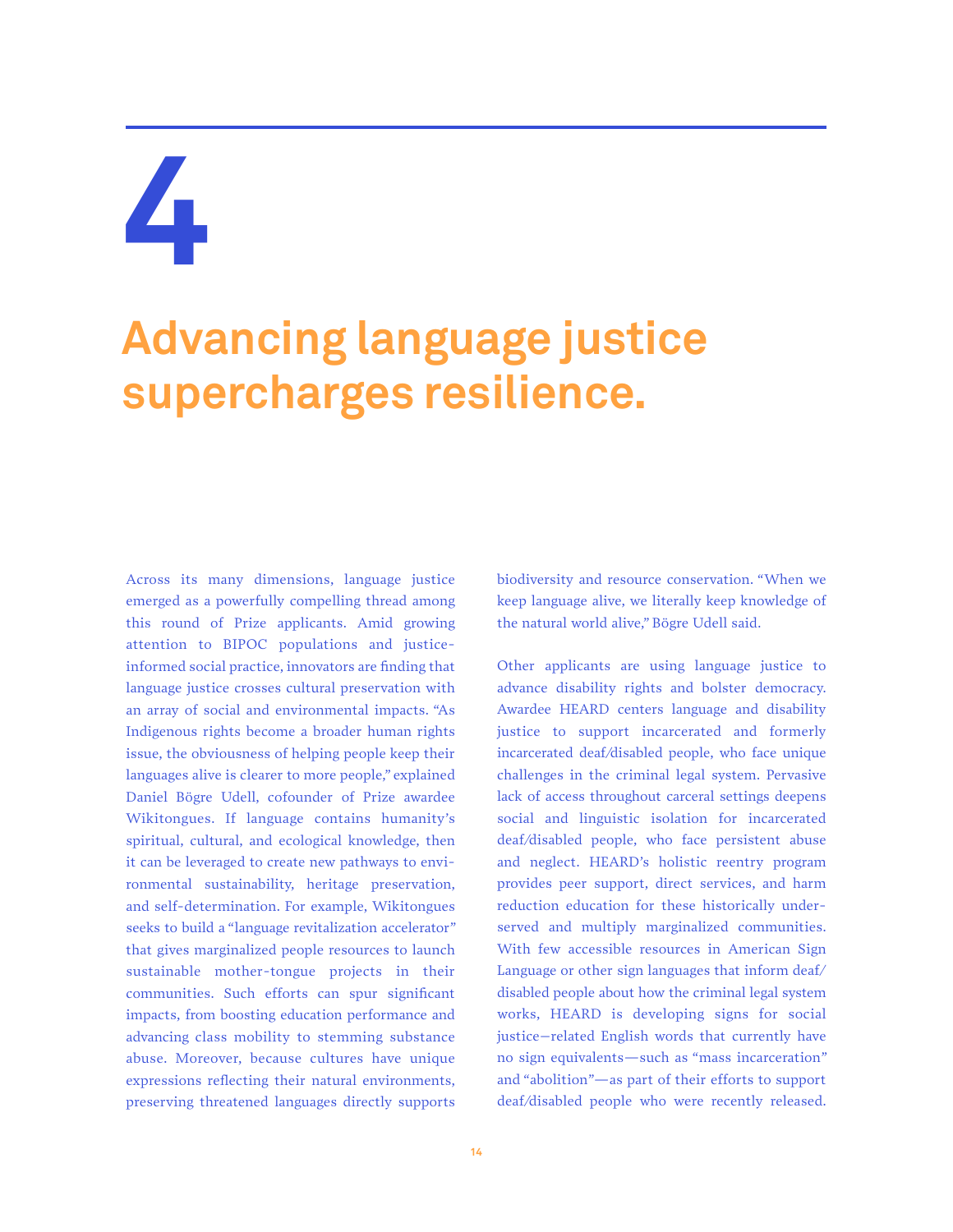### **Advancing language justice supercharges resilience.**

Across its many dimensions, language justice emerged as a powerfully compelling thread among this round of Prize applicants. Amid growing attention to BIPOC populations and justiceinformed social practice, innovators are finding that language justice crosses cultural preservation with an array of social and environmental impacts. "As Indigenous rights become a broader human rights issue, the obviousness of helping people keep their languages alive is clearer to more people," explained Daniel Bögre Udell, cofounder of Prize awardee Wikitongues. If language contains humanity's spiritual, cultural, and ecological knowledge, then it can be leveraged to create new pathways to environmental sustainability, heritage preservation, and self-determination. For example, Wikitongues seeks to build a "language revitalization accelerator" that gives marginalized people resources to launch sustainable mother-tongue projects in their communities. Such efforts can spur significant impacts, from boosting education performance and advancing class mobility to stemming substance abuse. Moreover, because cultures have unique expressions reflecting their natural environments, preserving threatened languages directly supports biodiversity and resource conservation. "When we keep language alive, we literally keep knowledge of the natural world alive," Bögre Udell said.

Other applicants are using language justice to advance disability rights and bolster democracy. Awardee HEARD centers language and disability justice to support incarcerated and formerly incarcerated deaf/disabled people, who face unique challenges in the criminal legal system. Pervasive lack of access throughout carceral settings deepens social and linguistic isolation for incarcerated deaf/disabled people, who face persistent abuse and neglect. HEARD's holistic reentry program provides peer support, direct services, and harm reduction education for these historically underserved and multiply marginalized communities. With few accessible resources in American Sign Language or other sign languages that inform deaf/ disabled people about how the criminal legal system works, HEARD is developing signs for social justice–related English words that currently have no sign equivalents—such as "mass incarceration" and "abolition"—as part of their efforts to support deaf/disabled people who were recently released.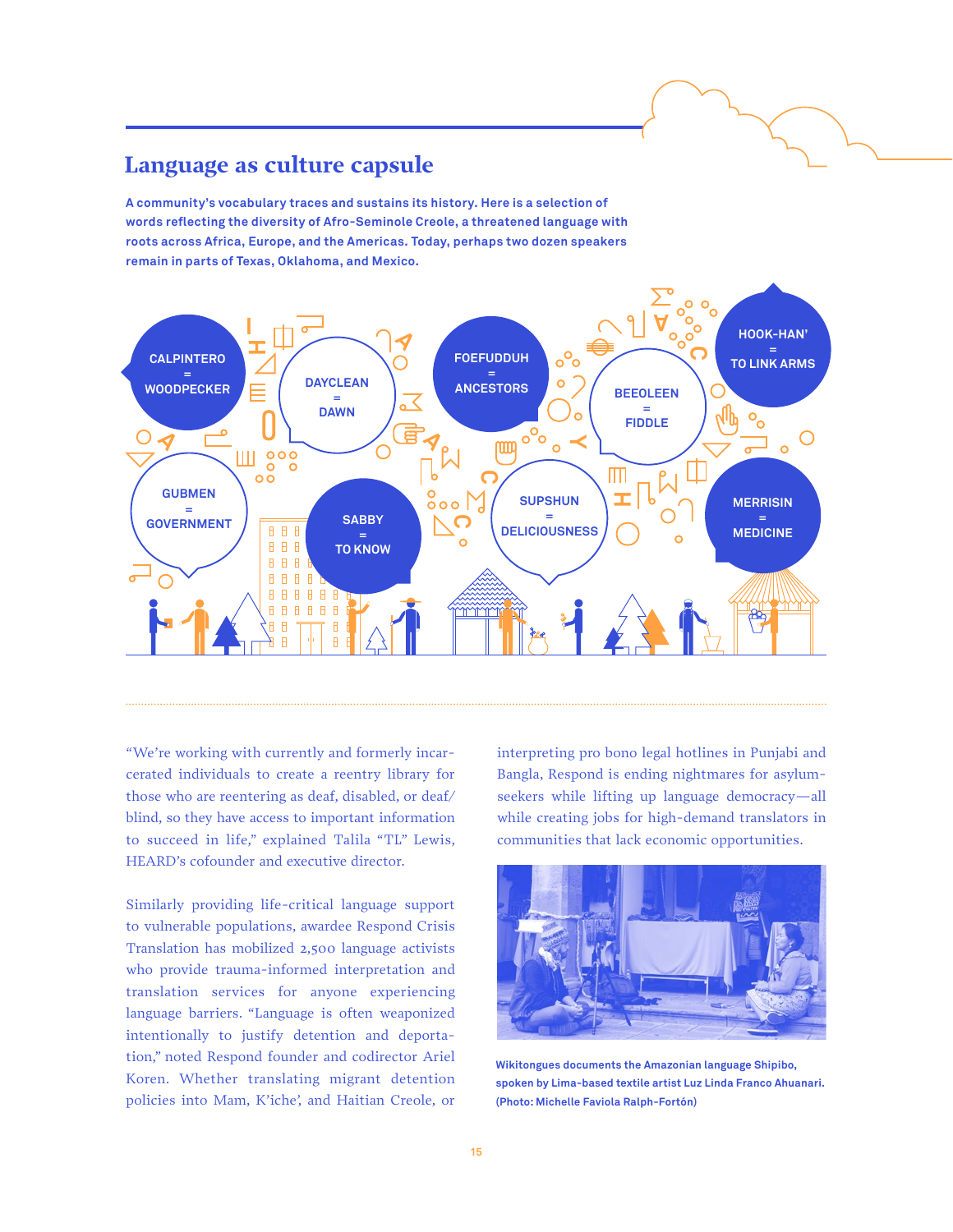#### **Language as culture capsule**

**A community's vocabulary traces and sustains its history. Here is a selection of words reflecting the diversity of Afro-Seminole Creole, a threatened language with roots across Africa, Europe, and the Americas. Today, perhaps two dozen speakers remain in parts of Texas, Oklahoma, and Mexico.**



"We're working with currently and formerly incarcerated individuals to create a reentry library for those who are reentering as deaf, disabled, or deaf/ blind, so they have access to important information to succeed in life," explained Talila "TL" Lewis, HEARD's cofounder and executive director.

Similarly providing life-critical language support to vulnerable populations, awardee Respond Crisis Translation has mobilized 2,500 language activists who provide trauma-informed interpretation and translation services for anyone experiencing language barriers. "Language is often weaponized intentionally to justify detention and deportation," noted Respond founder and codirector Ariel Koren. Whether translating migrant detention policies into Mam, K'iche', and Haitian Creole, or interpreting pro bono legal hotlines in Punjabi and Bangla, Respond is ending nightmares for asylumseekers while lifting up language democracy—all while creating jobs for high-demand translators in communities that lack economic opportunities.



**Wikitongues documents the Amazonian language Shipibo, spoken by Lima-based textile artist Luz Linda Franco Ahuanari. (Photo: Michelle Faviola Ralph-Fortón)**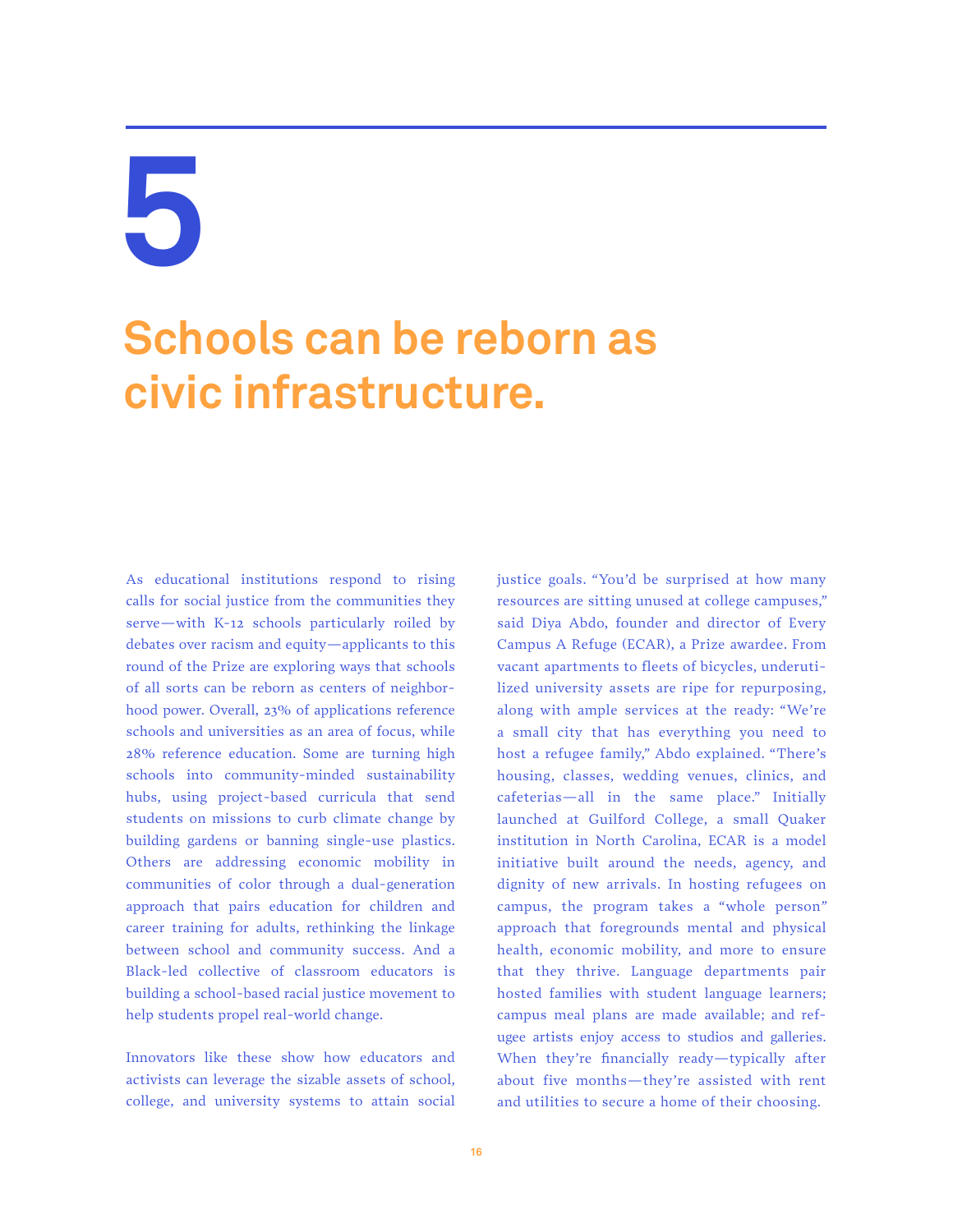### **Schools can be reborn as civic infrastructure.**

As educational institutions respond to rising calls for social justice from the communities they serve—with K-12 schools particularly roiled by debates over racism and equity—applicants to this round of the Prize are exploring ways that schools of all sorts can be reborn as centers of neighborhood power. Overall, 23% of applications reference schools and universities as an area of focus, while 28% reference education. Some are turning high schools into community-minded sustainability hubs, using project-based curricula that send students on missions to curb climate change by building gardens or banning single-use plastics. Others are addressing economic mobility in communities of color through a dual-generation approach that pairs education for children and career training for adults, rethinking the linkage between school and community success. And a Black-led collective of classroom educators is building a school-based racial justice movement to help students propel real-world change.

Innovators like these show how educators and activists can leverage the sizable assets of school, college, and university systems to attain social justice goals. "You'd be surprised at how many resources are sitting unused at college campuses," said Diya Abdo, founder and director of Every Campus A Refuge (ECAR), a Prize awardee. From vacant apartments to fleets of bicycles, underutilized university assets are ripe for repurposing, along with ample services at the ready: "We're a small city that has everything you need to host a refugee family," Abdo explained. "There's housing, classes, wedding venues, clinics, and cafeterias—all in the same place." Initially launched at Guilford College, a small Quaker institution in North Carolina, ECAR is a model initiative built around the needs, agency, and dignity of new arrivals. In hosting refugees on campus, the program takes a "whole person" approach that foregrounds mental and physical health, economic mobility, and more to ensure that they thrive. Language departments pair hosted families with student language learners; campus meal plans are made available; and refugee artists enjoy access to studios and galleries. When they're financially ready—typically after about five months—they're assisted with rent and utilities to secure a home of their choosing.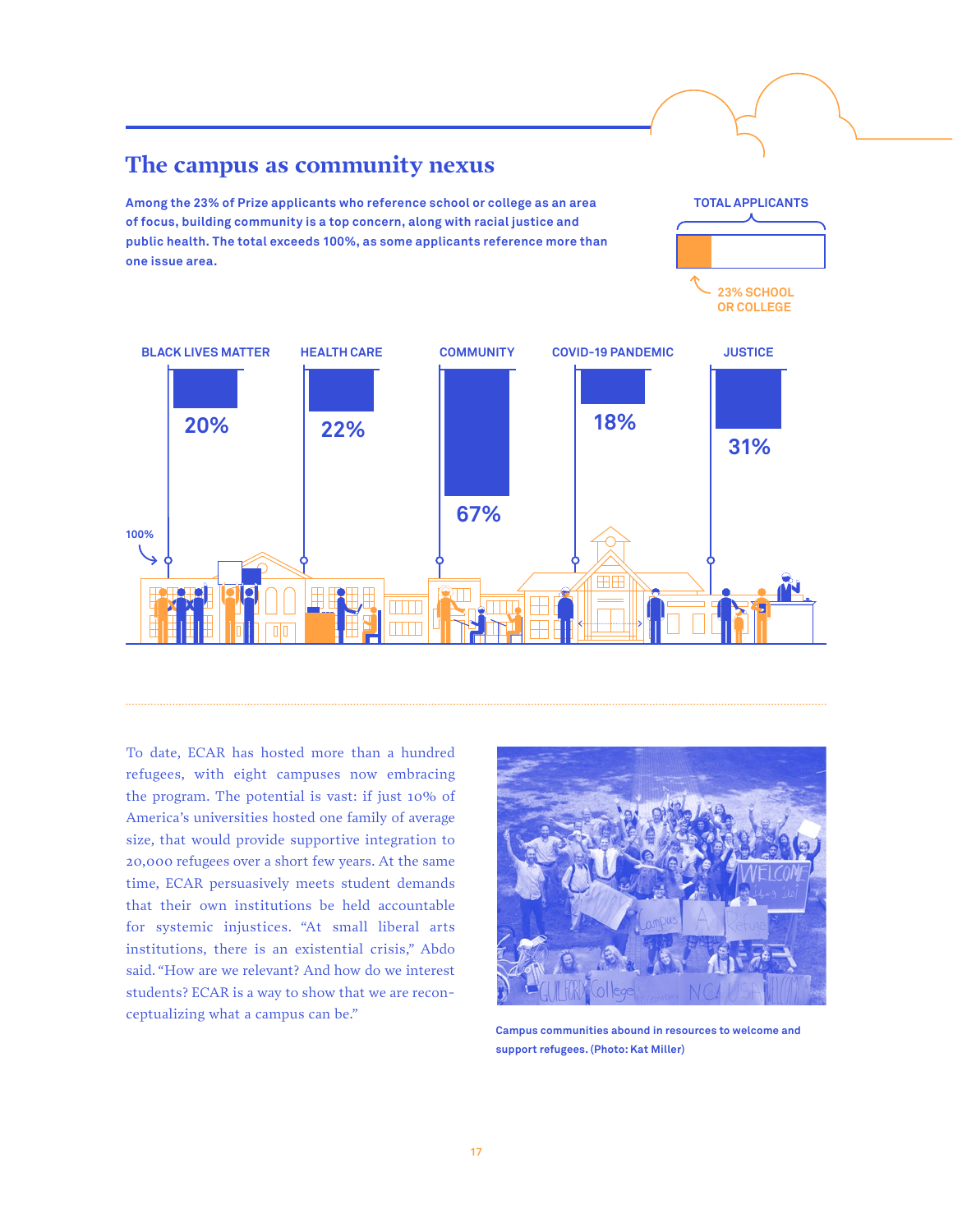

To date, ECAR has hosted more than a hundred refugees, with eight campuses now embracing the program. The potential is vast: if just 10% of America's universities hosted one family of average size, that would provide supportive integration to 20,000 refugees over a short few years. At the same time, ECAR persuasively meets student demands that their own institutions be held accountable for systemic injustices. "At small liberal arts institutions, there is an existential crisis," Abdo said. "How are we relevant? And how do we interest students? ECAR is a way to show that we are reconceptualizing what a campus can be."

**The campus as community nexus**

**Among the 23% of Prize applicants who reference school or college as an area of focus, building community is a top concern, along with racial justice and** 



**TOTAL APPLICANTS**

**Campus communities abound in resources to welcome and support refugees. (Photo: Kat Miller)**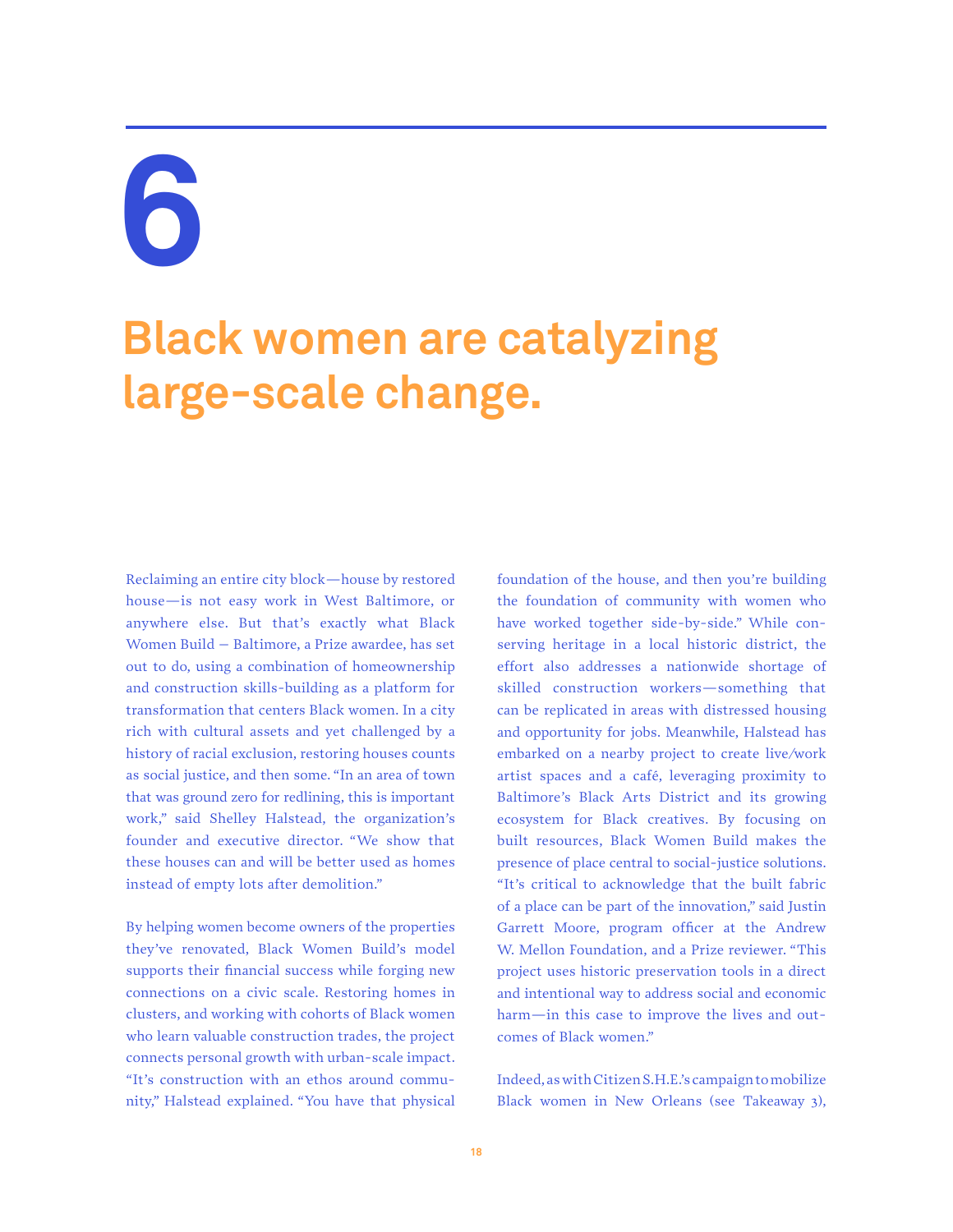### **Black women are catalyzing large-scale change.**

Reclaiming an entire city block—house by restored house—is not easy work in West Baltimore, or anywhere else. But that's exactly what Black Women Build – Baltimore, a Prize awardee, has set out to do, using a combination of homeownership and construction skills-building as a platform for transformation that centers Black women. In a city rich with cultural assets and yet challenged by a history of racial exclusion, restoring houses counts as social justice, and then some. "In an area of town that was ground zero for redlining, this is important work," said Shelley Halstead, the organization's founder and executive director. "We show that these houses can and will be better used as homes instead of empty lots after demolition."

By helping women become owners of the properties they've renovated, Black Women Build's model supports their financial success while forging new connections on a civic scale. Restoring homes in clusters, and working with cohorts of Black women who learn valuable construction trades, the project connects personal growth with urban-scale impact. "It's construction with an ethos around community," Halstead explained. "You have that physical foundation of the house, and then you're building the foundation of community with women who have worked together side-by-side." While conserving heritage in a local historic district, the effort also addresses a nationwide shortage of skilled construction workers—something that can be replicated in areas with distressed housing and opportunity for jobs. Meanwhile, Halstead has embarked on a nearby project to create live/work artist spaces and a café, leveraging proximity to Baltimore's Black Arts District and its growing ecosystem for Black creatives. By focusing on built resources, Black Women Build makes the presence of place central to social-justice solutions. "It's critical to acknowledge that the built fabric of a place can be part of the innovation," said Justin Garrett Moore, program officer at the Andrew W. Mellon Foundation, and a Prize reviewer. "This project uses historic preservation tools in a direct and intentional way to address social and economic harm—in this case to improve the lives and outcomes of Black women."

Indeed, as with Citizen S.H.E.'s campaign to mobilize Black women in New Orleans (see Takeaway 3),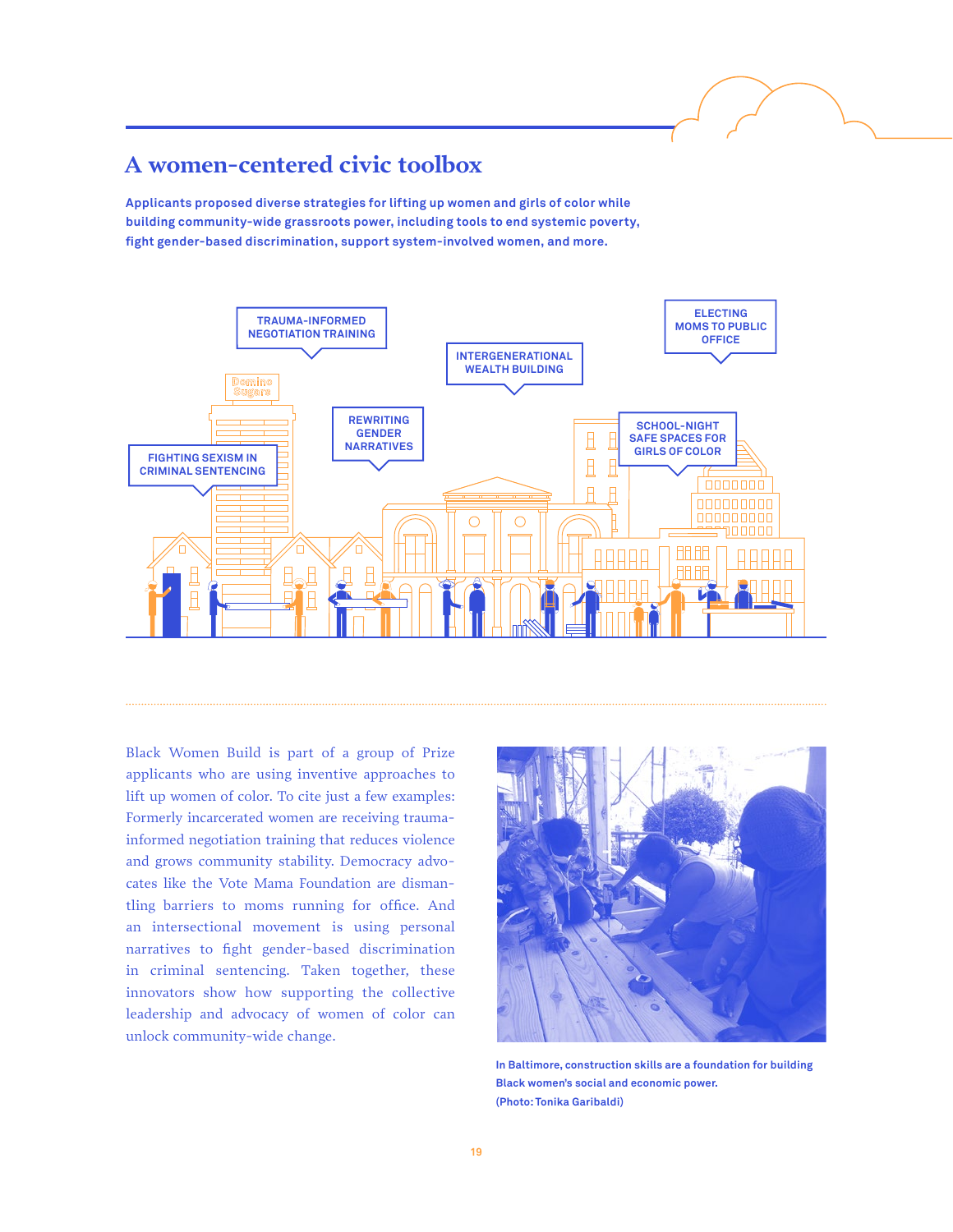#### **A women-centered civic toolbox**

**Applicants proposed diverse strategies for lifting up women and girls of color while building community-wide grassroots power, including tools to end systemic poverty, fight gender-based discrimination, support system-involved women, and more.**



Black Women Build is part of a group of Prize applicants who are using inventive approaches to lift up women of color. To cite just a few examples: Formerly incarcerated women are receiving traumainformed negotiation training that reduces violence and grows community stability. Democracy advocates like the Vote Mama Foundation are dismantling barriers to moms running for office. And an intersectional movement is using personal narratives to fight gender-based discrimination in criminal sentencing. Taken together, these innovators show how supporting the collective leadership and advocacy of women of color can unlock community-wide change.



**In Baltimore, construction skills are a foundation for building Black women's social and economic power. (Photo: Tonika Garibaldi)**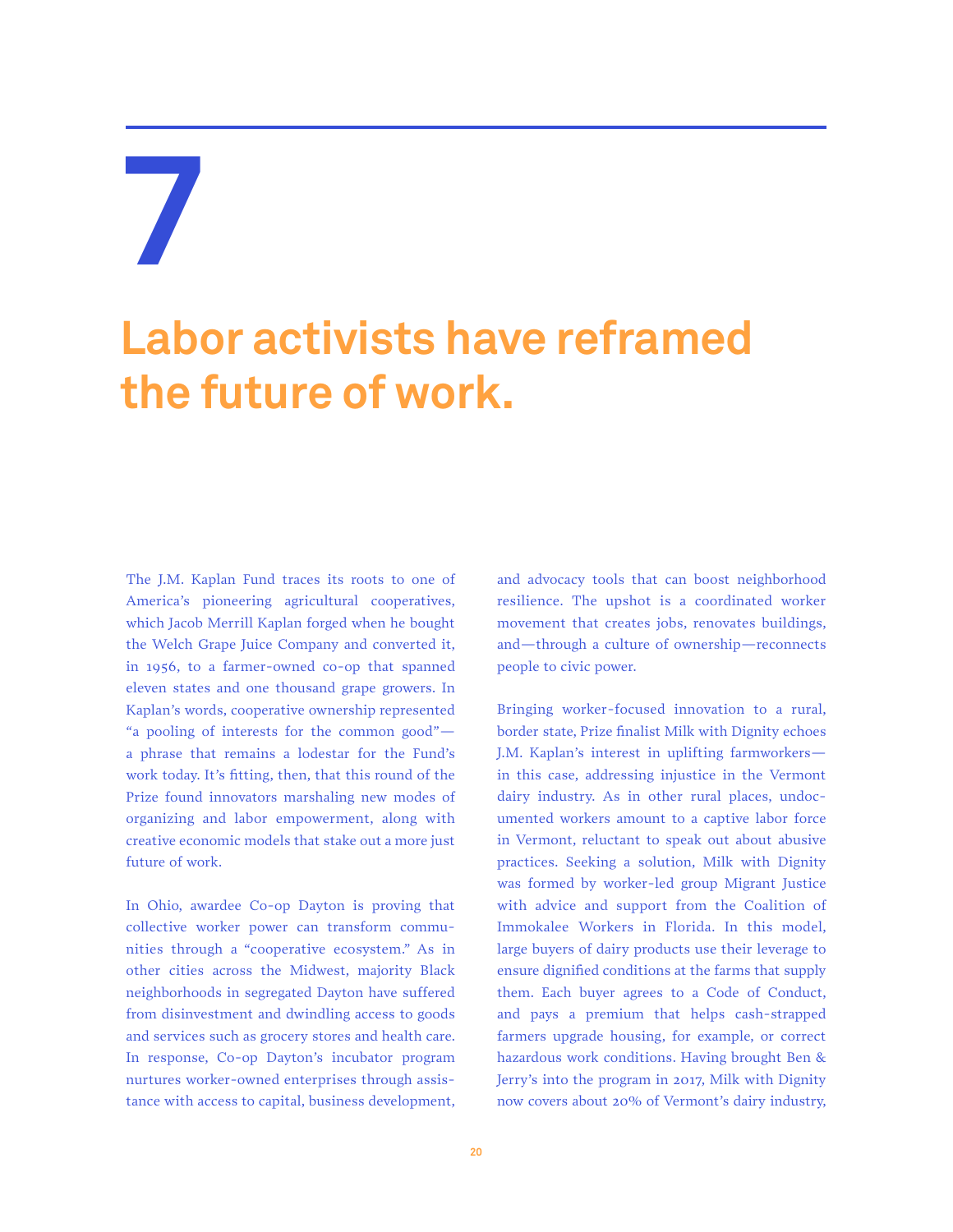### **Labor activists have reframed the future of work.**

The J.M. Kaplan Fund traces its roots to one of America's pioneering agricultural cooperatives, which Jacob Merrill Kaplan forged when he bought the Welch Grape Juice Company and converted it, in 1956, to a farmer-owned co-op that spanned eleven states and one thousand grape growers. In Kaplan's words, cooperative ownership represented "a pooling of interests for the common good" a phrase that remains a lodestar for the Fund's work today. It's fitting, then, that this round of the Prize found innovators marshaling new modes of organizing and labor empowerment, along with creative economic models that stake out a more just future of work.

In Ohio, awardee Co-op Dayton is proving that collective worker power can transform communities through a "cooperative ecosystem." As in other cities across the Midwest, majority Black neighborhoods in segregated Dayton have suffered from disinvestment and dwindling access to goods and services such as grocery stores and health care. In response, Co-op Dayton's incubator program nurtures worker-owned enterprises through assistance with access to capital, business development,

and advocacy tools that can boost neighborhood resilience. The upshot is a coordinated worker movement that creates jobs, renovates buildings, and—through a culture of ownership—reconnects people to civic power.

Bringing worker-focused innovation to a rural, border state, Prize finalist Milk with Dignity echoes J.M. Kaplan's interest in uplifting farmworkers in this case, addressing injustice in the Vermont dairy industry. As in other rural places, undocumented workers amount to a captive labor force in Vermont, reluctant to speak out about abusive practices. Seeking a solution, Milk with Dignity was formed by worker-led group Migrant Justice with advice and support from the Coalition of Immokalee Workers in Florida. In this model, large buyers of dairy products use their leverage to ensure dignified conditions at the farms that supply them. Each buyer agrees to a Code of Conduct, and pays a premium that helps cash-strapped farmers upgrade housing, for example, or correct hazardous work conditions. Having brought Ben & Jerry's into the program in 2017, Milk with Dignity now covers about 20% of Vermont's dairy industry,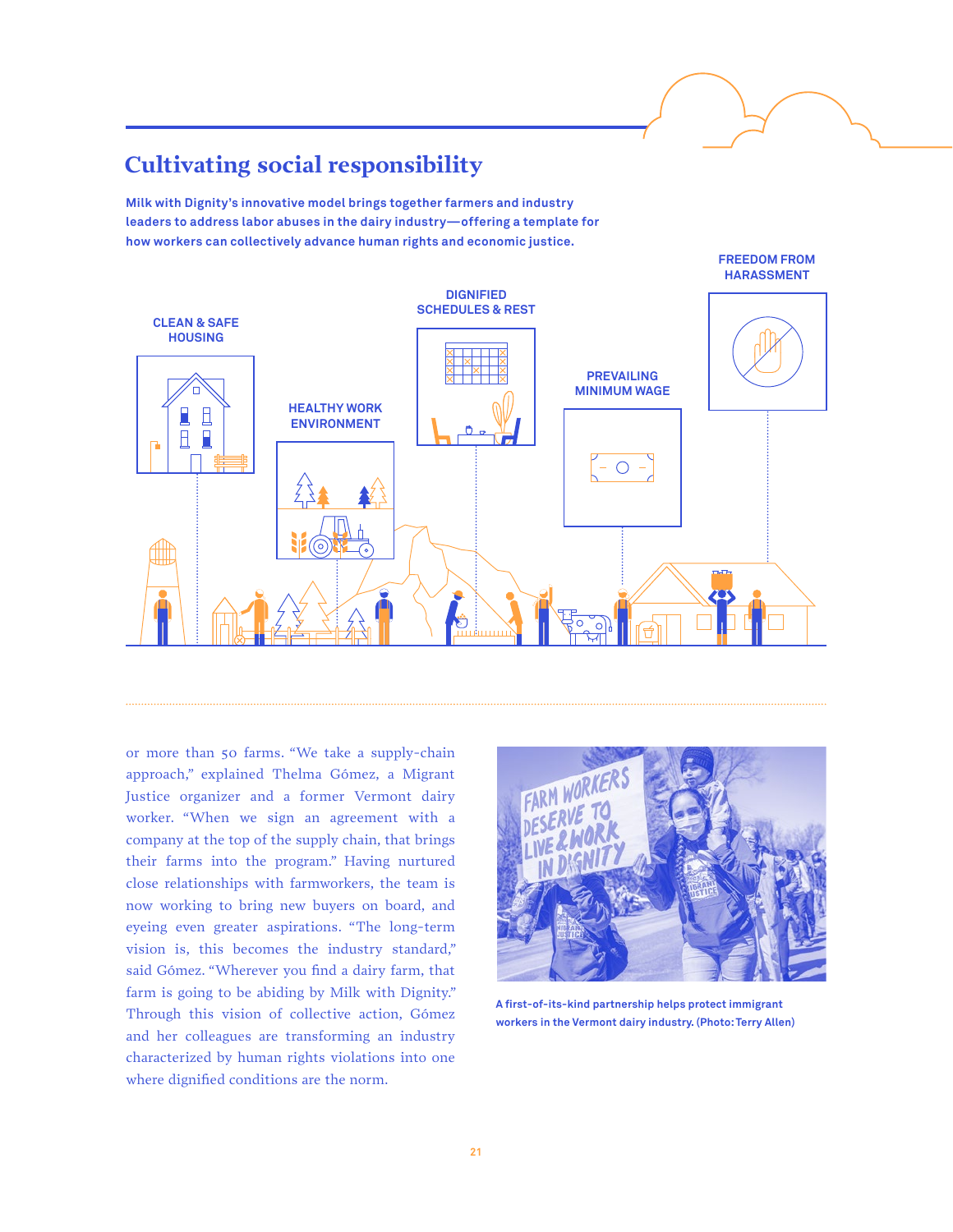### **Cultivating social responsibility**

**Milk with Dignity's innovative model brings together farmers and industry leaders to address labor abuses in the dairy industry—offering a template for how workers can collectively advance human rights and economic justice.**



or more than 50 farms. "We take a supply-chain approach," explained Thelma Gómez, a Migrant Justice organizer and a former Vermont dairy worker. "When we sign an agreement with a company at the top of the supply chain, that brings their farms into the program." Having nurtured close relationships with farmworkers, the team is now working to bring new buyers on board, and eyeing even greater aspirations. "The long-term vision is, this becomes the industry standard," said Gómez. "Wherever you find a dairy farm, that farm is going to be abiding by Milk with Dignity." Through this vision of collective action, Gómez and her colleagues are transforming an industry characterized by human rights violations into one where dignified conditions are the norm.



**A first-of-its-kind partnership helps protect immigrant workers in the Vermont dairy industry. (Photo: Terry Allen)**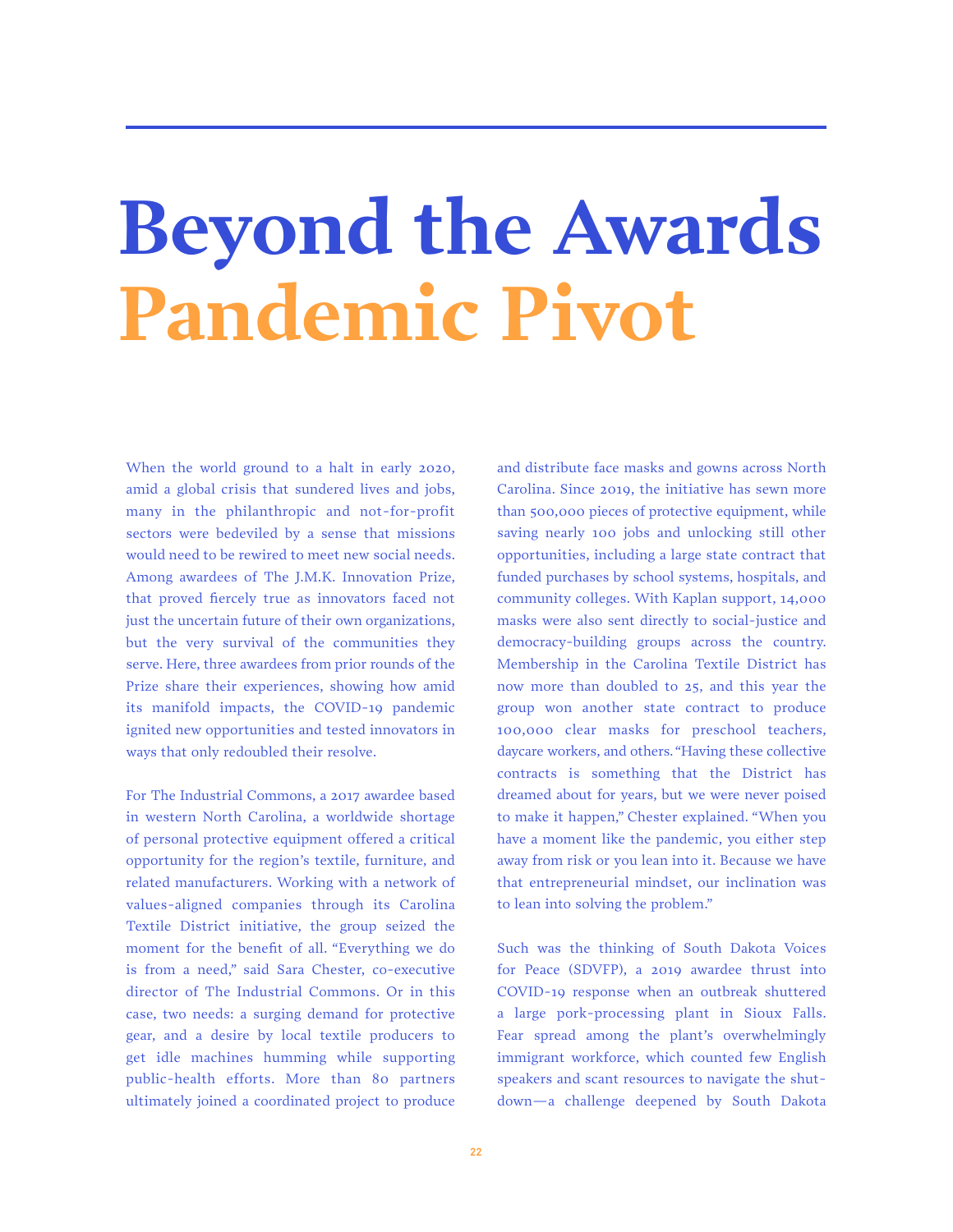## **Beyond the Awards Pandemic Pivot**

When the world ground to a halt in early 2020, amid a global crisis that sundered lives and jobs, many in the philanthropic and not-for-profit sectors were bedeviled by a sense that missions would need to be rewired to meet new social needs. Among awardees of The J.M.K. Innovation Prize, that proved fiercely true as innovators faced not just the uncertain future of their own organizations, but the very survival of the communities they serve. Here, three awardees from prior rounds of the Prize share their experiences, showing how amid its manifold impacts, the COVID-19 pandemic ignited new opportunities and tested innovators in ways that only redoubled their resolve.

For The Industrial Commons, a 2017 awardee based in western North Carolina, a worldwide shortage of personal protective equipment offered a critical opportunity for the region's textile, furniture, and related manufacturers. Working with a network of values-aligned companies through its Carolina Textile District initiative, the group seized the moment for the benefit of all. "Everything we do is from a need," said Sara Chester, co-executive director of The Industrial Commons. Or in this case, two needs: a surging demand for protective gear, and a desire by local textile producers to get idle machines humming while supporting public-health efforts. More than 80 partners ultimately joined a coordinated project to produce

and distribute face masks and gowns across North Carolina. Since 2019, the initiative has sewn more than 500,000 pieces of protective equipment, while saving nearly 100 jobs and unlocking still other opportunities, including a large state contract that funded purchases by school systems, hospitals, and community colleges. With Kaplan support, 14,000 masks were also sent directly to social-justice and democracy-building groups across the country. Membership in the Carolina Textile District has now more than doubled to 25, and this year the group won another state contract to produce 100,000 clear masks for preschool teachers, daycare workers, and others. "Having these collective contracts is something that the District has dreamed about for years, but we were never poised to make it happen," Chester explained. "When you have a moment like the pandemic, you either step away from risk or you lean into it. Because we have that entrepreneurial mindset, our inclination was to lean into solving the problem."

Such was the thinking of South Dakota Voices for Peace (SDVFP), a 2019 awardee thrust into COVID-19 response when an outbreak shuttered a large pork-processing plant in Sioux Falls. Fear spread among the plant's overwhelmingly immigrant workforce, which counted few English speakers and scant resources to navigate the shutdown—a challenge deepened by South Dakota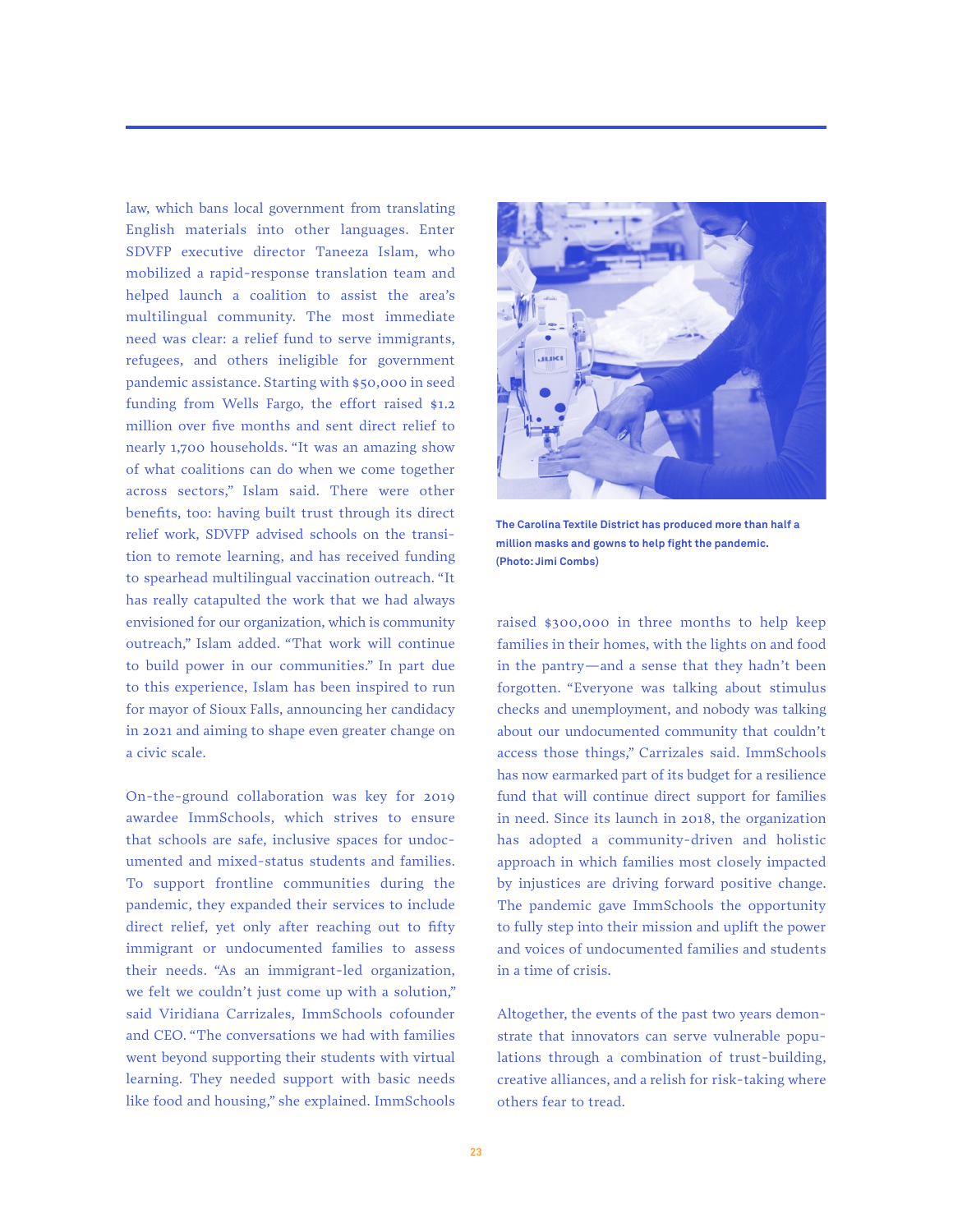law, which bans local government from translating English materials into other languages. Enter SDVFP executive director Taneeza Islam, who mobilized a rapid-response translation team and helped launch a coalition to assist the area's multilingual community. The most immediate need was clear: a relief fund to serve immigrants, refugees, and others ineligible for government pandemic assistance. Starting with \$50,000 in seed funding from Wells Fargo, the effort raised \$1.2 million over five months and sent direct relief to nearly 1,700 households. "It was an amazing show of what coalitions can do when we come together across sectors," Islam said. There were other benefits, too: having built trust through its direct relief work, SDVFP advised schools on the transition to remote learning, and has received funding to spearhead multilingual vaccination outreach. "It has really catapulted the work that we had always envisioned for our organization, which is community outreach," Islam added. "That work will continue to build power in our communities." In part due to this experience, Islam has been inspired to run for mayor of Sioux Falls, announcing her candidacy in 2021 and aiming to shape even greater change on a civic scale.

On-the-ground collaboration was key for 2019 awardee ImmSchools, which strives to ensure that schools are safe, inclusive spaces for undocumented and mixed-status students and families. To support frontline communities during the pandemic, they expanded their services to include direct relief, yet only after reaching out to fifty immigrant or undocumented families to assess their needs. "As an immigrant-led organization, we felt we couldn't just come up with a solution," said Viridiana Carrizales, ImmSchools cofounder and CEO. "The conversations we had with families went beyond supporting their students with virtual learning. They needed support with basic needs like food and housing," she explained. ImmSchools



**The Carolina Textile District has produced more than half a million masks and gowns to help fight the pandemic. (Photo: Jimi Combs)**

raised \$300,000 in three months to help keep families in their homes, with the lights on and food in the pantry—and a sense that they hadn't been forgotten. "Everyone was talking about stimulus checks and unemployment, and nobody was talking about our undocumented community that couldn't access those things," Carrizales said. ImmSchools has now earmarked part of its budget for a resilience fund that will continue direct support for families in need. Since its launch in 2018, the organization has adopted a community-driven and holistic approach in which families most closely impacted by injustices are driving forward positive change. The pandemic gave ImmSchools the opportunity to fully step into their mission and uplift the power and voices of undocumented families and students in a time of crisis.

Altogether, the events of the past two years demonstrate that innovators can serve vulnerable populations through a combination of trust-building, creative alliances, and a relish for risk-taking where others fear to tread.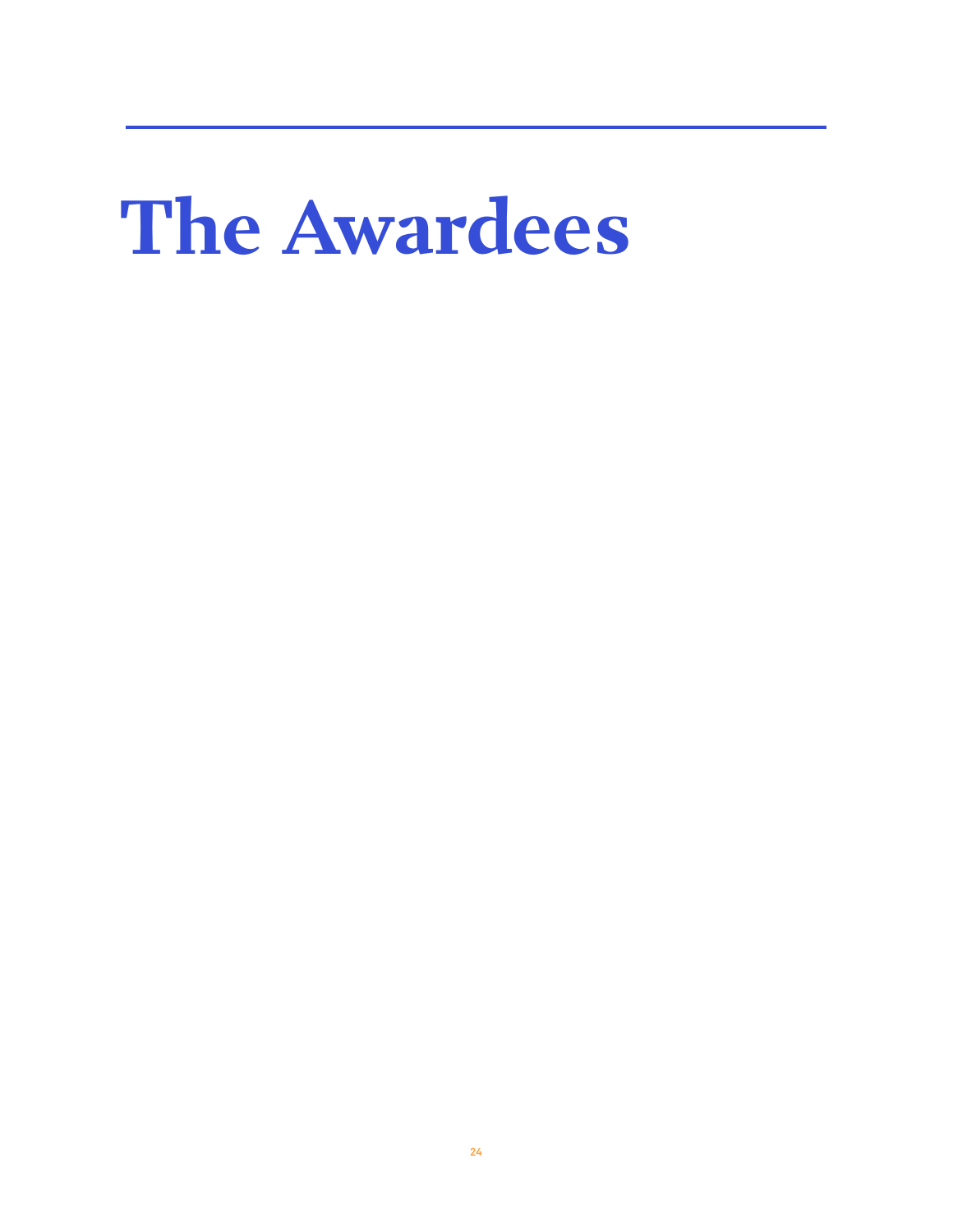## **The Awardees**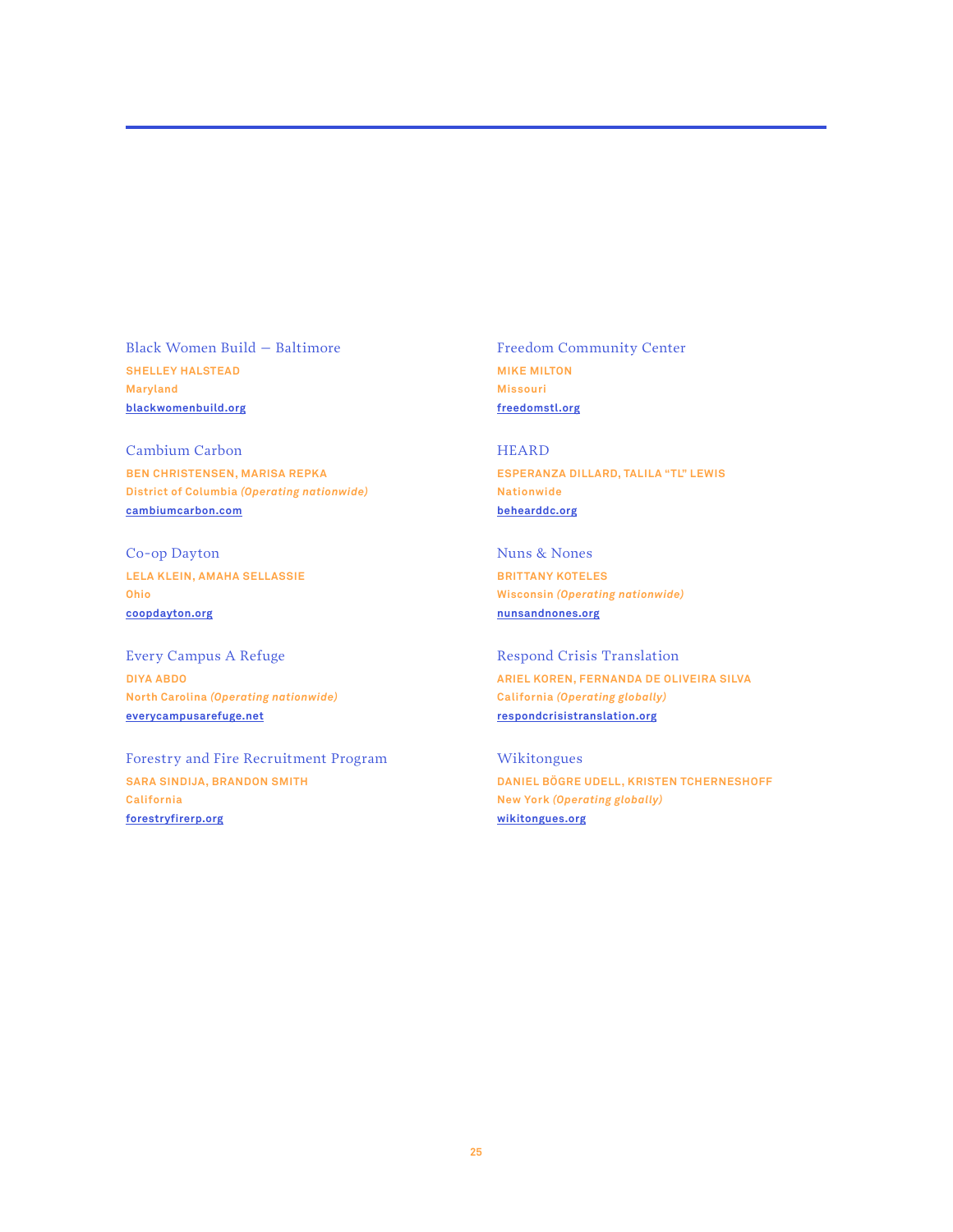Black Women Build – Baltimore **SHELLEY HALSTEAD Maryland [blackwomenbuild.org](https://blackwomenbuild.org/)**

Cambium Carbon **BEN CHRISTENSEN, MARISA REPKA District of Columbia** *(Operating nationwide)* **[cambiumcarbon.com](http://cambiumcarbon.com)**

Co-op Dayton **LELA KLEIN, AMAHA SELLASSIE Ohio [coopdayton.org](http://coopdayton.org)**

Every Campus A Refuge **DIYA ABDO North Carolina** *(Operating nationwide)* **[everycampusarefuge.net](http://everycampusarefuge.net)**

Forestry and Fire Recruitment Program **SARA SINDIJA, BRANDON SMITH California [forestryfirerp.org](http://forestryfirerp.org)**

Freedom Community Center **MIKE MILTON Missouri [freedomstl.org](http://freedomstl.org)**

HEARD **ESPERANZA DILLARD, TALILA "TL" LEWIS Nationwide [behearddc.org](http://behearddc.org)**

Nuns & Nones **BRITTANY KOTELES Wisconsin** *(Operating nationwide)* **[nunsandnones.org](http://nunsandnones.org)**

Respond Crisis Translation **ARIEL KOREN, FERNANDA DE OLIVEIRA SILVA California** *(Operating globally)* **[respondcrisistranslation.org](http://respondcrisistranslation.org)**

Wikitongues **DANIEL BÖGRE UDELL, KRISTEN TCHERNESHOFF New York** *(Operating globally)* **[wikitongues.org](http://wikitongues.org)**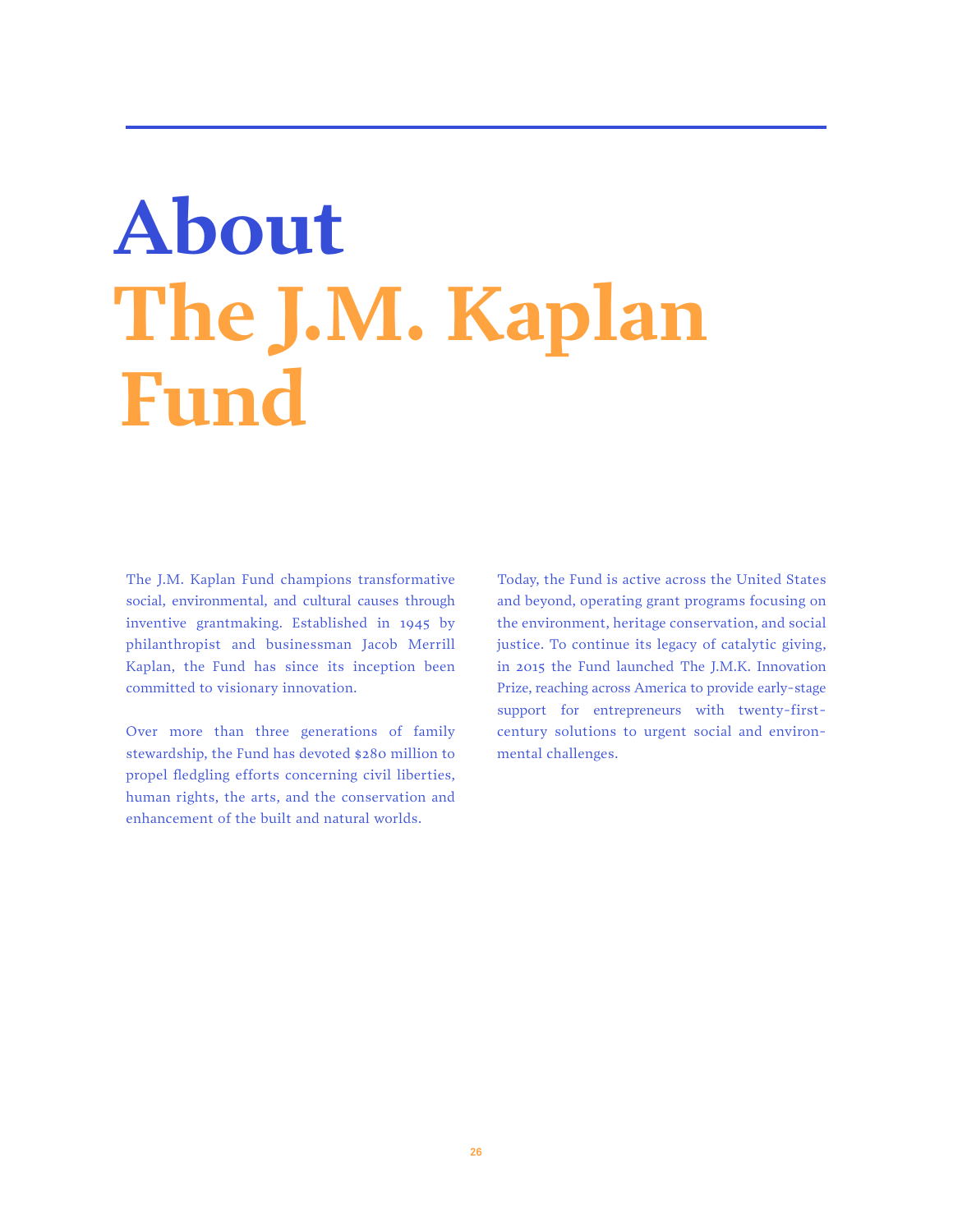## **About The J.M. Kaplan Fund**

The J.M. Kaplan Fund champions transformative social, environmental, and cultural causes through inventive grantmaking. Established in 1945 by philanthropist and businessman Jacob Merrill Kaplan, the Fund has since its inception been committed to visionary innovation.

Over more than three generations of family stewardship, the Fund has devoted \$280 million to propel fledgling efforts concerning civil liberties, human rights, the arts, and the conservation and enhancement of the built and natural worlds.

Today, the Fund is active across the United States and beyond, operating grant programs focusing on the environment, heritage conservation, and social justice. To continue its legacy of catalytic giving, in 2015 the Fund launched The J.M.K. Innovation Prize, reaching across America to provide early-stage support for entrepreneurs with twenty-firstcentury solutions to urgent social and environmental challenges.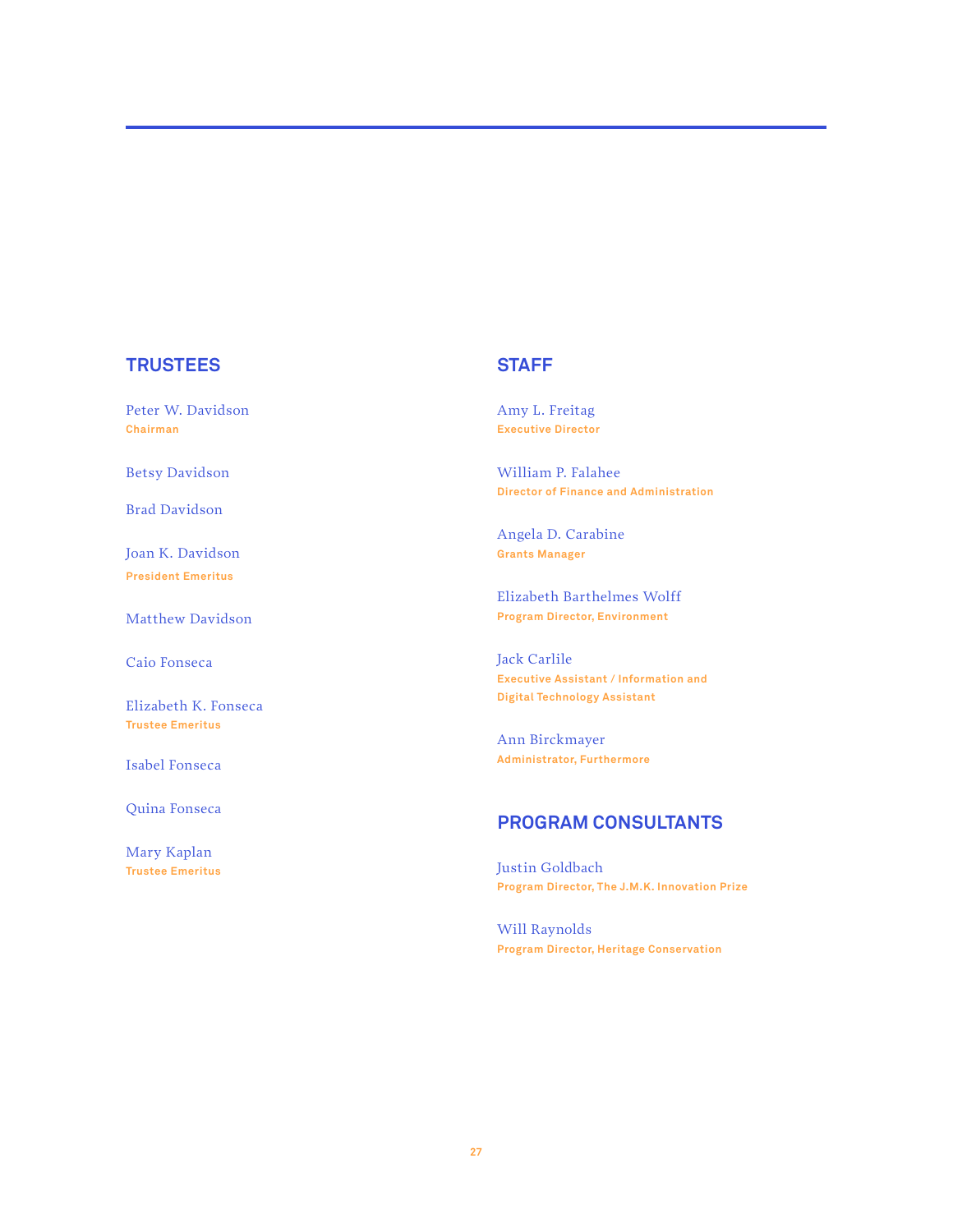#### **TRUSTEES**

Peter W. Davidson **Chairman**

Betsy Davidson

Brad Davidson

Joan K. Davidson **President Emeritus**

Matthew Davidson

Caio Fonseca

Elizabeth K. Fonseca **Trustee Emeritus**

Isabel Fonseca

Quina Fonseca

Mary Kaplan **Trustee Emeritus**

#### **STAFF**

Amy L. Freitag **Executive Director**

William P. Falahee **Director of Finance and Administration**

Angela D. Carabine **Grants Manager**

Elizabeth Barthelmes Wolff **Program Director, Environment**

Jack Carlile **Executive Assistant / Information and Digital Technology Assistant**

Ann Birckmayer **Administrator, Furthermore**

#### **PROGRAM CONSULTANTS**

Justin Goldbach **Program Director, The J.M.K. Innovation Prize**

Will Raynolds **Program Director, Heritage Conservation**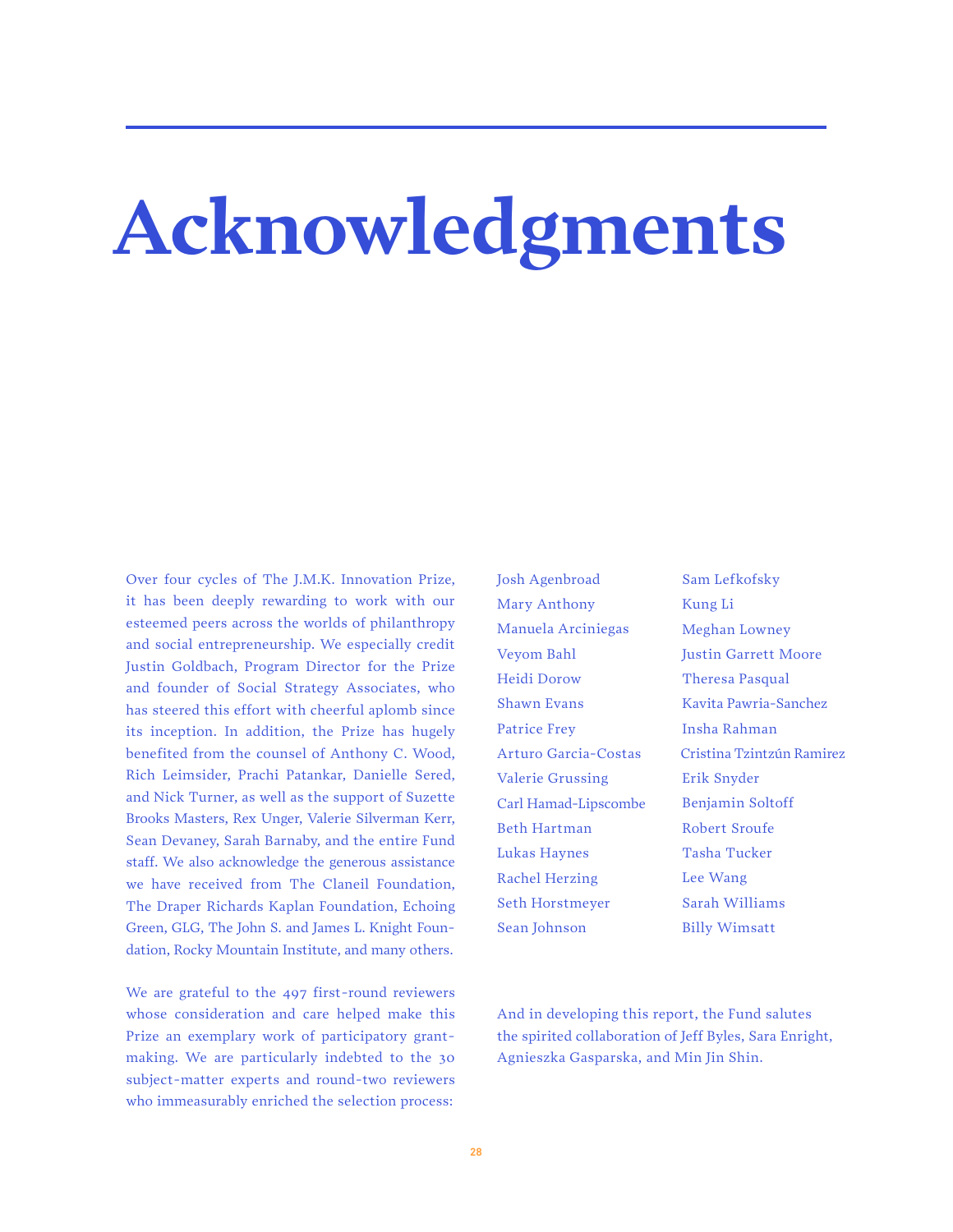## **Acknowledgments**

Over four cycles of The J.M.K. Innovation Prize, it has been deeply rewarding to work with our esteemed peers across the worlds of philanthropy and social entrepreneurship. We especially credit Justin Goldbach, Program Director for the Prize and founder of Social Strategy Associates, who has steered this effort with cheerful aplomb since its inception. In addition, the Prize has hugely benefited from the counsel of Anthony C. Wood, Rich Leimsider, Prachi Patankar, Danielle Sered, and Nick Turner, as well as the support of Suzette Brooks Masters, Rex Unger, Valerie Silverman Kerr, Sean Devaney, Sarah Barnaby, and the entire Fund staff. We also acknowledge the generous assistance we have received from The Claneil Foundation, The Draper Richards Kaplan Foundation, Echoing Green, GLG, The John S. and James L. Knight Foundation, Rocky Mountain Institute, and many others.

We are grateful to the 497 first-round reviewers whose consideration and care helped make this Prize an exemplary work of participatory grantmaking. We are particularly indebted to the 30 subject-matter experts and round-two reviewers who immeasurably enriched the selection process:

Josh Agenbroad Mary Anthony Manuela Arciniegas Veyom Bahl Heidi Dorow Shawn Evans Patrice Frey Arturo Garcia-Costas Valerie Grussing Carl Hamad-Lipscombe Beth Hartman Lukas Haynes Rachel Herzing Seth Horstmeyer Sean Johnson

Sam Lefkofsky Kung Li Meghan Lowney Justin Garrett Moore Theresa Pasqual Kavita Pawria-Sanchez Insha Rahman Cristina Tzintzún Ramirez Erik Snyder Benjamin Soltoff Robert Sroufe Tasha Tucker Lee Wang Sarah Williams Billy Wimsatt

And in developing this report, the Fund salutes the spirited collaboration of Jeff Byles, Sara Enright, Agnieszka Gasparska, and Min Jin Shin.